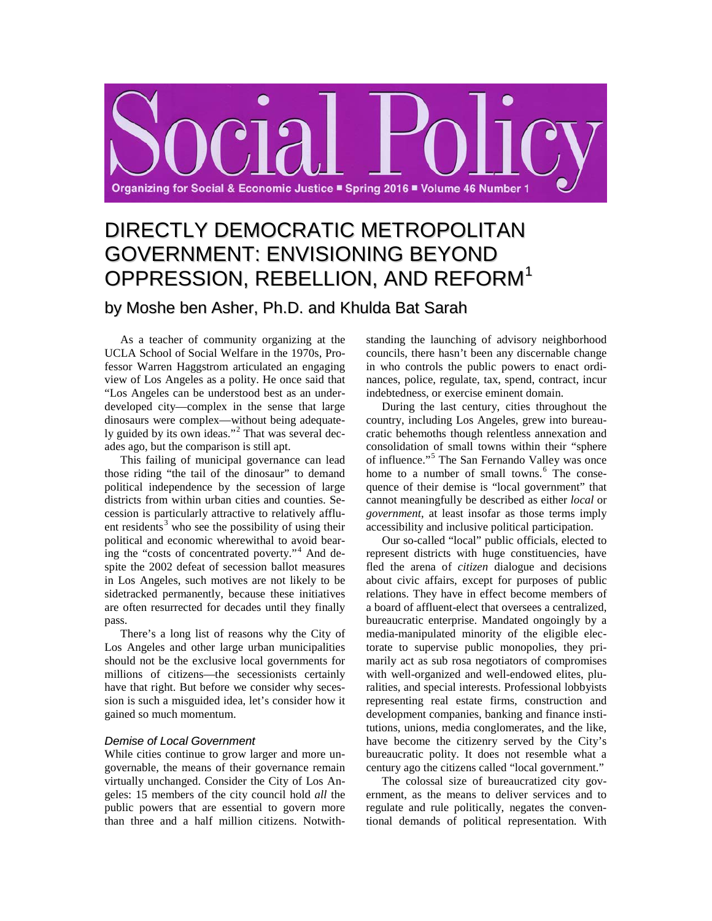

# DIRECTLY DEMOCRATIC METROPOLITAN GOVERNMENT: ENVISIONING BEYOND OPPRESSION, REBELLION, AND REFORM[1](#page-14-0)

## by Moshe ben Asher, Ph.D. and Khulda Bat Sarah

As a teacher of community organizing at the UCLA School of Social Welfare in the 1970s, Professor Warren Haggstrom articulated an engaging view of Los Angeles as a polity. He once said that "Los Angeles can be understood best as an underdeveloped city—complex in the sense that large dinosaurs were complex—without being adequate-ly guided by its own ideas."<sup>[2](#page-14-1)</sup> That was several decades ago, but the comparison is still apt.

This failing of municipal governance can lead those riding "the tail of the dinosaur" to demand political independence by the secession of large districts from within urban cities and counties. Secession is particularly attractive to relatively afflu-ent residents<sup>[3](#page-14-2)</sup> who see the possibility of using their political and economic wherewithal to avoid bearing the "costs of concentrated poverty."[4](#page-14-3) And despite the 2002 defeat of secession ballot measures in Los Angeles, such motives are not likely to be sidetracked permanently, because these initiatives are often resurrected for decades until they finally pass.

There's a long list of reasons why the City of Los Angeles and other large urban municipalities should not be the exclusive local governments for millions of citizens—the secessionists certainly have that right. But before we consider why secession is such a misguided idea, let's consider how it gained so much momentum.

#### *Demise of Local Government*

While cities continue to grow larger and more ungovernable, the means of their governance remain virtually unchanged. Consider the City of Los Angeles: 15 members of the city council hold *all* the public powers that are essential to govern more than three and a half million citizens. Notwithstanding the launching of advisory neighborhood councils, there hasn't been any discernable change in who controls the public powers to enact ordinances, police, regulate, tax, spend, contract, incur indebtedness, or exercise eminent domain.

During the last century, cities throughout the country, including Los Angeles, grew into bureaucratic behemoths though relentless annexation and consolidation of small towns within their "sphere of influence."<sup>[5](#page-15-0)</sup> The San Fernando Valley was once home to a number of small towns. [6](#page-15-1) The consequence of their demise is "local government" that cannot meaningfully be described as either *local* or *government*, at least insofar as those terms imply accessibility and inclusive political participation.

Our so-called "local" public officials, elected to represent districts with huge constituencies, have fled the arena of *citizen* dialogue and decisions about civic affairs, except for purposes of public relations. They have in effect become members of a board of affluent-elect that oversees a centralized, bureaucratic enterprise. Mandated ongoingly by a media-manipulated minority of the eligible electorate to supervise public monopolies, they primarily act as sub rosa negotiators of compromises with well-organized and well-endowed elites, pluralities, and special interests. Professional lobbyists representing real estate firms, construction and development companies, banking and finance institutions, unions, media conglomerates, and the like, have become the citizenry served by the City's bureaucratic polity. It does not resemble what a century ago the citizens called "local government."

The colossal size of bureaucratized city government, as the means to deliver services and to regulate and rule politically, negates the conventional demands of political representation. With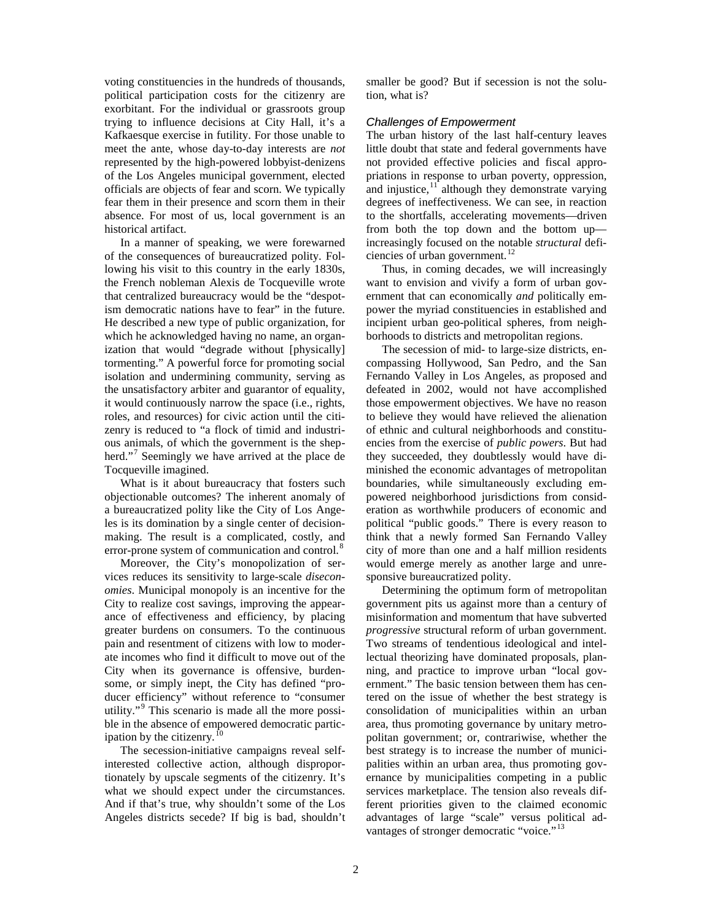voting constituencies in the hundreds of thousands, political participation costs for the citizenry are exorbitant. For the individual or grassroots group trying to influence decisions at City Hall, it's a Kafkaesque exercise in futility. For those unable to meet the ante, whose day-to-day interests are *not* represented by the high-powered lobbyist-denizens of the Los Angeles municipal government, elected officials are objects of fear and scorn. We typically fear them in their presence and scorn them in their absence. For most of us, local government is an historical artifact.

In a manner of speaking, we were forewarned of the consequences of bureaucratized polity. Following his visit to this country in the early 1830s, the French nobleman Alexis de Tocqueville wrote that centralized bureaucracy would be the "despotism democratic nations have to fear" in the future. He described a new type of public organization, for which he acknowledged having no name, an organization that would "degrade without [physically] tormenting." A powerful force for promoting social isolation and undermining community, serving as the unsatisfactory arbiter and guarantor of equality, it would continuously narrow the space (i.e., rights, roles, and resources) for civic action until the citizenry is reduced to "a flock of timid and industrious animals, of which the government is the shep-herd."<sup>[7](#page-16-0)</sup> Seemingly we have arrived at the place de Tocqueville imagined.

What is it about bureaucracy that fosters such objectionable outcomes? The inherent anomaly of a bureaucratized polity like the City of Los Angeles is its domination by a single center of decisionmaking. The result is a complicated, costly, and error-prone system of communication and control.<sup>[8](#page-16-1)</sup>

Moreover, the City's monopolization of services reduces its sensitivity to large-scale *diseconomies*. Municipal monopoly is an incentive for the City to realize cost savings, improving the appearance of effectiveness and efficiency, by placing greater burdens on consumers. To the continuous pain and resentment of citizens with low to moderate incomes who find it difficult to move out of the City when its governance is offensive, burdensome, or simply inept, the City has defined "producer efficiency" without reference to "consumer utility."<sup>[9](#page-16-2)</sup> This scenario is made all the more possible in the absence of empowered democratic partic-ipation by the citizenry.<sup>[10](#page-16-3)</sup>

The secession-initiative campaigns reveal selfinterested collective action, although disproportionately by upscale segments of the citizenry. It's what we should expect under the circumstances. And if that's true, why shouldn't some of the Los Angeles districts secede? If big is bad, shouldn't smaller be good? But if secession is not the solution, what is?

#### *Challenges of Empowerment*

The urban history of the last half-century leaves little doubt that state and federal governments have not provided effective policies and fiscal appropriations in response to urban poverty, oppression, and injustice,<sup>[11](#page-17-0)</sup> although they demonstrate varying degrees of ineffectiveness. We can see, in reaction to the shortfalls, accelerating movements—driven from both the top down and the bottom up increasingly focused on the notable *structural* deficiencies of urban government. [12](#page-17-1)

Thus, in coming decades, we will increasingly want to envision and vivify a form of urban government that can economically *and* politically empower the myriad constituencies in established and incipient urban geo-political spheres, from neighborhoods to districts and metropolitan regions.

The secession of mid- to large-size districts, encompassing Hollywood, San Pedro, and the San Fernando Valley in Los Angeles, as proposed and defeated in 2002, would not have accomplished those empowerment objectives. We have no reason to believe they would have relieved the alienation of ethnic and cultural neighborhoods and constituencies from the exercise of *public powers*. But had they succeeded, they doubtlessly would have diminished the economic advantages of metropolitan boundaries, while simultaneously excluding empowered neighborhood jurisdictions from consideration as worthwhile producers of economic and political "public goods." There is every reason to think that a newly formed San Fernando Valley city of more than one and a half million residents would emerge merely as another large and unresponsive bureaucratized polity.

Determining the optimum form of metropolitan government pits us against more than a century of misinformation and momentum that have subverted *progressive* structural reform of urban government. Two streams of tendentious ideological and intellectual theorizing have dominated proposals, planning, and practice to improve urban "local government." The basic tension between them has centered on the issue of whether the best strategy is consolidation of municipalities within an urban area, thus promoting governance by unitary metropolitan government; or, contrariwise, whether the best strategy is to increase the number of municipalities within an urban area, thus promoting governance by municipalities competing in a public services marketplace. The tension also reveals different priorities given to the claimed economic advantages of large "scale" versus political ad-vantages of stronger democratic "voice."<sup>[13](#page-17-2)</sup>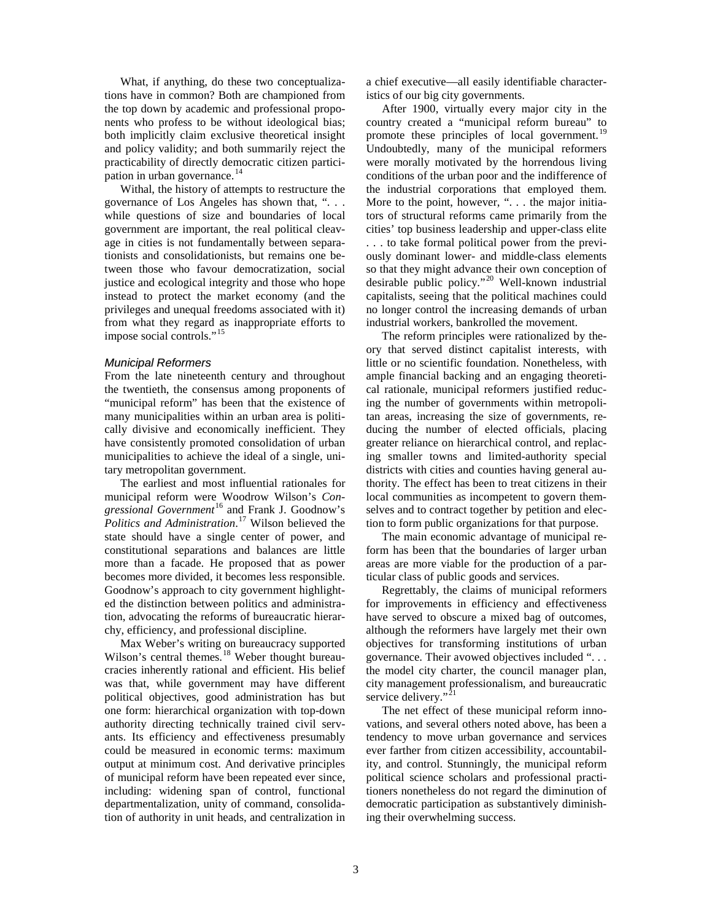What, if anything, do these two conceptualizations have in common? Both are championed from the top down by academic and professional proponents who profess to be without ideological bias; both implicitly claim exclusive theoretical insight and policy validity; and both summarily reject the practicability of directly democratic citizen partici-pation in urban governance.<sup>[14](#page-18-0)</sup>

Withal, the history of attempts to restructure the governance of Los Angeles has shown that, ". . . while questions of size and boundaries of local government are important, the real political cleavage in cities is not fundamentally between separationists and consolidationists, but remains one between those who favour democratization, social justice and ecological integrity and those who hope instead to protect the market economy (and the privileges and unequal freedoms associated with it) from what they regard as inappropriate efforts to impose social controls."<sup>[15](#page-18-1)</sup>

#### *Municipal Reformers*

From the late nineteenth century and throughout the twentieth, the consensus among proponents of "municipal reform" has been that the existence of many municipalities within an urban area is politically divisive and economically inefficient. They have consistently promoted consolidation of urban municipalities to achieve the ideal of a single, unitary metropolitan government.

The earliest and most influential rationales for municipal reform were Woodrow Wilson's *Congressional Government*[16](#page-18-2) and Frank J. Goodnow's *Politics and Administration*. [17](#page-18-3) Wilson believed the state should have a single center of power, and constitutional separations and balances are little more than a facade. He proposed that as power becomes more divided, it becomes less responsible. Goodnow's approach to city government highlighted the distinction between politics and administration, advocating the reforms of bureaucratic hierarchy, efficiency, and professional discipline.

Max Weber's writing on bureaucracy supported Wilson's central themes.<sup>[18](#page-18-4)</sup> Weber thought bureaucracies inherently rational and efficient. His belief was that, while government may have different political objectives, good administration has but one form: hierarchical organization with top-down authority directing technically trained civil servants. Its efficiency and effectiveness presumably could be measured in economic terms: maximum output at minimum cost. And derivative principles of municipal reform have been repeated ever since, including: widening span of control, functional departmentalization, unity of command, consolidation of authority in unit heads, and centralization in

a chief executive—all easily identifiable characteristics of our big city governments.

After 1900, virtually every major city in the country created a "municipal reform bureau" to promote these principles of local government.<sup>[19](#page-18-5)</sup> Undoubtedly, many of the municipal reformers were morally motivated by the horrendous living conditions of the urban poor and the indifference of the industrial corporations that employed them. More to the point, however, ". . . the major initiators of structural reforms came primarily from the cities' top business leadership and upper-class elite . . . to take formal political power from the previously dominant lower- and middle-class elements so that they might advance their own conception of desirable public policy."[20](#page-18-6) Well-known industrial capitalists, seeing that the political machines could no longer control the increasing demands of urban industrial workers, bankrolled the movement.

The reform principles were rationalized by theory that served distinct capitalist interests, with little or no scientific foundation. Nonetheless, with ample financial backing and an engaging theoretical rationale, municipal reformers justified reducing the number of governments within metropolitan areas, increasing the size of governments, reducing the number of elected officials, placing greater reliance on hierarchical control, and replacing smaller towns and limited-authority special districts with cities and counties having general authority. The effect has been to treat citizens in their local communities as incompetent to govern themselves and to contract together by petition and election to form public organizations for that purpose.

The main economic advantage of municipal reform has been that the boundaries of larger urban areas are more viable for the production of a particular class of public goods and services.

Regrettably, the claims of municipal reformers for improvements in efficiency and effectiveness have served to obscure a mixed bag of outcomes, although the reformers have largely met their own objectives for transforming institutions of urban governance. Their avowed objectives included ". . . the model city charter, the council manager plan, city management professionalism, and bureaucratic service delivery."<sup>[21](#page-18-7)</sup>

The net effect of these municipal reform innovations, and several others noted above, has been a tendency to move urban governance and services ever farther from citizen accessibility, accountability, and control. Stunningly, the municipal reform political science scholars and professional practitioners nonetheless do not regard the diminution of democratic participation as substantively diminishing their overwhelming success.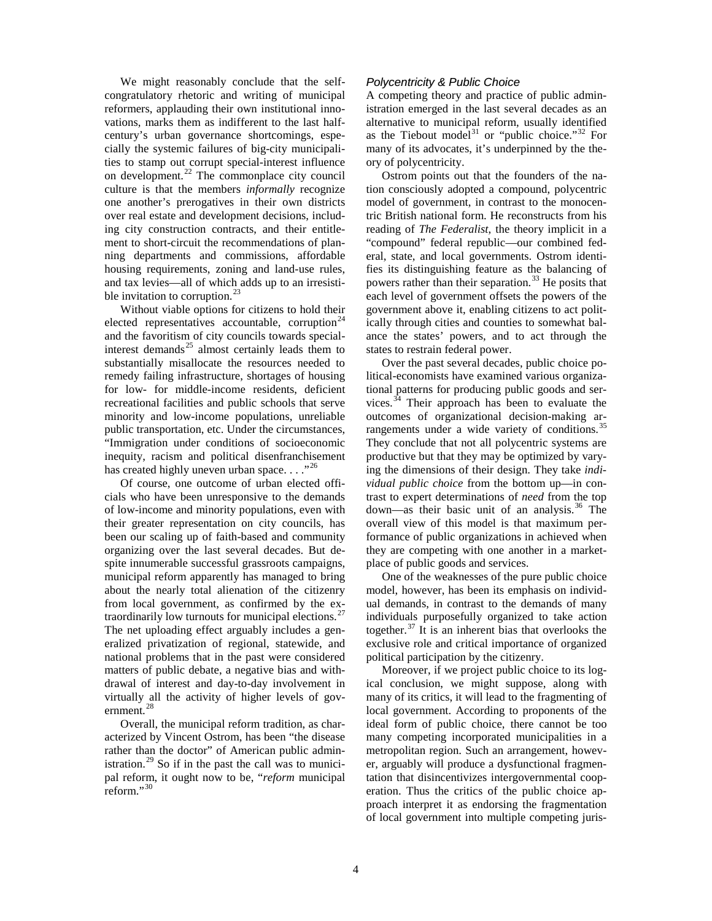We might reasonably conclude that the selfcongratulatory rhetoric and writing of municipal reformers, applauding their own institutional innovations, marks them as indifferent to the last halfcentury's urban governance shortcomings, especially the systemic failures of big-city municipalities to stamp out corrupt special-interest influence on development. [22](#page-18-8) The commonplace city council culture is that the members *informally* recognize one another's prerogatives in their own districts over real estate and development decisions, including city construction contracts, and their entitlement to short-circuit the recommendations of planning departments and commissions, affordable housing requirements, zoning and land-use rules, and tax levies—all of which adds up to an irresistible invitation to corruption. $^{23}$  $^{23}$  $^{23}$ 

Without viable options for citizens to hold their elected representatives accountable, corruption<sup>[24](#page-18-10)</sup> and the favoritism of city councils towards specialinterest demands $^{25}$  $^{25}$  $^{25}$  almost certainly leads them to substantially misallocate the resources needed to remedy failing infrastructure, shortages of housing for low- for middle-income residents, deficient recreational facilities and public schools that serve minority and low-income populations, unreliable public transportation, etc. Under the circumstances, "Immigration under conditions of socioeconomic inequity, racism and political disenfranchisement has created highly uneven urban space.  $\ldots$ ."<sup>[26](#page-18-12)</sup>

Of course, one outcome of urban elected officials who have been unresponsive to the demands of low-income and minority populations, even with their greater representation on city councils, has been our scaling up of faith-based and community organizing over the last several decades. But despite innumerable successful grassroots campaigns, municipal reform apparently has managed to bring about the nearly total alienation of the citizenry from local government, as confirmed by the ex-traordinarily low turnouts for municipal elections.<sup>[27](#page-18-13)</sup> The net uploading effect arguably includes a generalized privatization of regional, statewide, and national problems that in the past were considered matters of public debate, a negative bias and withdrawal of interest and day-to-day involvement in virtually all the activity of higher levels of gov-ernment.<sup>[28](#page-18-14)</sup>

Overall, the municipal reform tradition, as characterized by Vincent Ostrom, has been "the disease rather than the doctor" of American public admin-istration.<sup>[29](#page-18-15)</sup> So if in the past the call was to municipal reform, it ought now to be, "*reform* municipal reform."<sup>[30](#page-18-16)</sup>

#### *Polycentricity & Public Choice*

A competing theory and practice of public administration emerged in the last several decades as an alternative to municipal reform, usually identified as the Tiebout model<sup>[31](#page-18-17)</sup> or "public choice."<sup>[32](#page-18-18)</sup> For many of its advocates, it's underpinned by the theory of polycentricity.

Ostrom points out that the founders of the nation consciously adopted a compound, polycentric model of government, in contrast to the monocentric British national form. He reconstructs from his reading of *The Federalist*, the theory implicit in a "compound" federal republic—our combined federal, state, and local governments. Ostrom identifies its distinguishing feature as the balancing of powers rather than their separation.<sup>[33](#page-18-19)</sup> He posits that each level of government offsets the powers of the government above it, enabling citizens to act politically through cities and counties to somewhat balance the states' powers, and to act through the states to restrain federal power.

Over the past several decades, public choice political-economists have examined various organizational patterns for producing public goods and services.[34](#page-18-20) Their approach has been to evaluate the outcomes of organizational decision-making ar-rangements under a wide variety of conditions.<sup>[35](#page-18-21)</sup> They conclude that not all polycentric systems are productive but that they may be optimized by varying the dimensions of their design. They take *individual public choice* from the bottom up—in contrast to expert determinations of *need* from the top down—as their basic unit of an analysis.[36](#page-18-1) The overall view of this model is that maximum performance of public organizations in achieved when they are competing with one another in a marketplace of public goods and services.

One of the weaknesses of the pure public choice model, however, has been its emphasis on individual demands, in contrast to the demands of many individuals purposefully organized to take action together. $37$  It is an inherent bias that overlooks the exclusive role and critical importance of organized political participation by the citizenry.

Moreover, if we project public choice to its logical conclusion, we might suppose, along with many of its critics, it will lead to the fragmenting of local government. According to proponents of the ideal form of public choice, there cannot be too many competing incorporated municipalities in a metropolitan region. Such an arrangement, however, arguably will produce a dysfunctional fragmentation that disincentivizes intergovernmental cooperation. Thus the critics of the public choice approach interpret it as endorsing the fragmentation of local government into multiple competing juris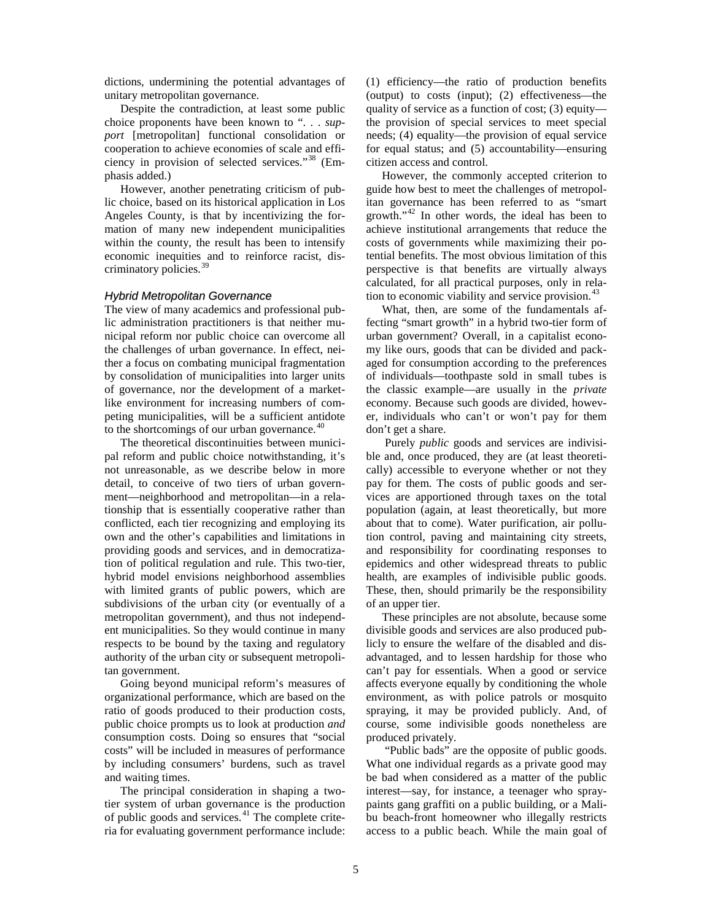dictions, undermining the potential advantages of unitary metropolitan governance.

Despite the contradiction, at least some public choice proponents have been known to ". . . *support* [metropolitan] functional consolidation or cooperation to achieve economies of scale and efficiency in provision of selected services."[38](#page-18-22) (Emphasis added.)

However, another penetrating criticism of public choice, based on its historical application in Los Angeles County, is that by incentivizing the formation of many new independent municipalities within the county, the result has been to intensify economic inequities and to reinforce racist, discriminatory policies. [39](#page-18-5)

#### *Hybrid Metropolitan Governance*

The view of many academics and professional public administration practitioners is that neither municipal reform nor public choice can overcome all the challenges of urban governance. In effect, neither a focus on combating municipal fragmentation by consolidation of municipalities into larger units of governance, nor the development of a marketlike environment for increasing numbers of competing municipalities, will be a sufficient antidote to the shortcomings of our urban governance.<sup>[40](#page-18-23)</sup>

The theoretical discontinuities between municipal reform and public choice notwithstanding, it's not unreasonable, as we describe below in more detail, to conceive of two tiers of urban government—neighborhood and metropolitan—in a relationship that is essentially cooperative rather than conflicted, each tier recognizing and employing its own and the other's capabilities and limitations in providing goods and services, and in democratization of political regulation and rule. This two-tier, hybrid model envisions neighborhood assemblies with limited grants of public powers, which are subdivisions of the urban city (or eventually of a metropolitan government), and thus not independent municipalities. So they would continue in many respects to be bound by the taxing and regulatory authority of the urban city or subsequent metropolitan government.

Going beyond municipal reform's measures of organizational performance, which are based on the ratio of goods produced to their production costs, public choice prompts us to look at production *and* consumption costs. Doing so ensures that "social costs" will be included in measures of performance by including consumers' burdens, such as travel and waiting times.

The principal consideration in shaping a twotier system of urban governance is the production of public goods and services.<sup>[41](#page-18-7)</sup> The complete criteria for evaluating government performance include: (1) efficiency—the ratio of production benefits (output) to costs (input); (2) effectiveness—the quality of service as a function of cost; (3) equity the provision of special services to meet special needs; (4) equality—the provision of equal service for equal status; and (5) accountability—ensuring citizen access and control.

However, the commonly accepted criterion to guide how best to meet the challenges of metropolitan governance has been referred to as "smart growth."[42](#page-18-8) In other words, the ideal has been to achieve institutional arrangements that reduce the costs of governments while maximizing their potential benefits. The most obvious limitation of this perspective is that benefits are virtually always calculated, for all practical purposes, only in rela-tion to economic viability and service provision.<sup>[43](#page-18-24)</sup>

What, then, are some of the fundamentals affecting "smart growth" in a hybrid two-tier form of urban government? Overall, in a capitalist economy like ours, goods that can be divided and packaged for consumption according to the preferences of individuals—toothpaste sold in small tubes is the classic example—are usually in the *private* economy. Because such goods are divided, however, individuals who can't or won't pay for them don't get a share.

Purely *public* goods and services are indivisible and, once produced, they are (at least theoretically) accessible to everyone whether or not they pay for them. The costs of public goods and services are apportioned through taxes on the total population (again, at least theoretically, but more about that to come). Water purification, air pollution control, paving and maintaining city streets, and responsibility for coordinating responses to epidemics and other widespread threats to public health, are examples of indivisible public goods. These, then, should primarily be the responsibility of an upper tier.

These principles are not absolute, because some divisible goods and services are also produced publicly to ensure the welfare of the disabled and disadvantaged, and to lessen hardship for those who can't pay for essentials. When a good or service affects everyone equally by conditioning the whole environment, as with police patrols or mosquito spraying, it may be provided publicly. And, of course, some indivisible goods nonetheless are produced privately.

"Public bads" are the opposite of public goods. What one individual regards as a private good may be bad when considered as a matter of the public interest—say, for instance, a teenager who spraypaints gang graffiti on a public building, or a Malibu beach-front homeowner who illegally restricts access to a public beach. While the main goal of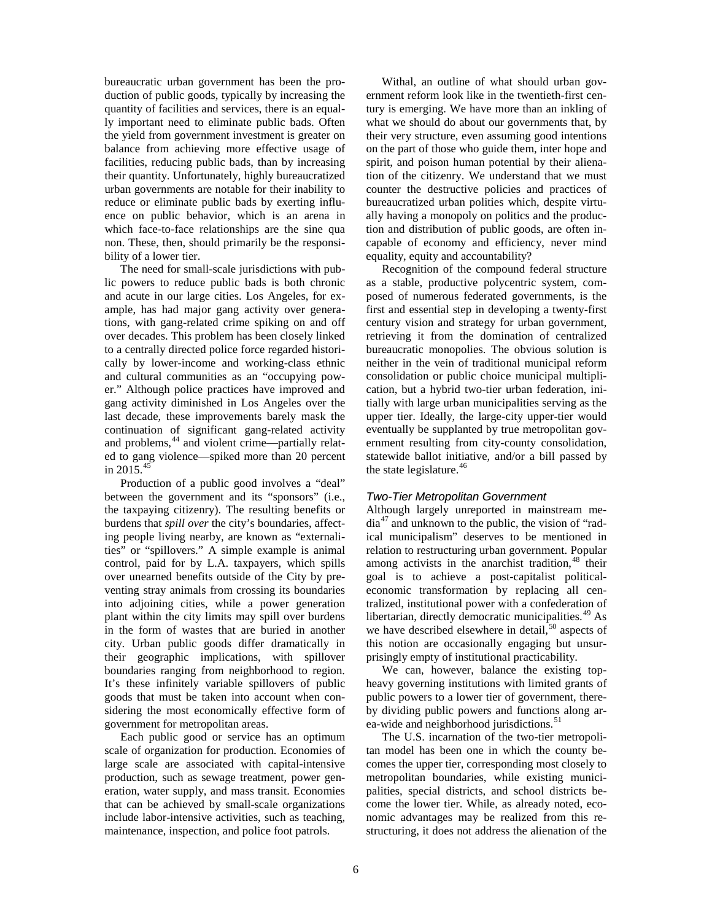bureaucratic urban government has been the production of public goods, typically by increasing the quantity of facilities and services, there is an equally important need to eliminate public bads. Often the yield from government investment is greater on balance from achieving more effective usage of facilities, reducing public bads, than by increasing their quantity. Unfortunately, highly bureaucratized urban governments are notable for their inability to reduce or eliminate public bads by exerting influence on public behavior, which is an arena in which face-to-face relationships are the sine qua non. These, then, should primarily be the responsibility of a lower tier.

The need for small-scale jurisdictions with public powers to reduce public bads is both chronic and acute in our large cities. Los Angeles, for example, has had major gang activity over generations, with gang-related crime spiking on and off over decades. This problem has been closely linked to a centrally directed police force regarded historically by lower-income and working-class ethnic and cultural communities as an "occupying power." Although police practices have improved and gang activity diminished in Los Angeles over the last decade, these improvements barely mask the continuation of significant gang-related activity and problems,<sup>[44](#page-18-25)</sup> and violent crime—partially related to gang violence—spiked more than 20 percent in 2015.<sup>[45](#page-18-10)</sup>

Production of a public good involves a "deal" between the government and its "sponsors" (i.e., the taxpaying citizenry). The resulting benefits or burdens that *spill over* the city's boundaries, affecting people living nearby, are known as "externalities" or "spillovers." A simple example is animal control, paid for by L.A. taxpayers, which spills over unearned benefits outside of the City by preventing stray animals from crossing its boundaries into adjoining cities, while a power generation plant within the city limits may spill over burdens in the form of wastes that are buried in another city. Urban public goods differ dramatically in their geographic implications, with spillover boundaries ranging from neighborhood to region. It's these infinitely variable spillovers of public goods that must be taken into account when considering the most economically effective form of government for metropolitan areas.

Each public good or service has an optimum scale of organization for production. Economies of large scale are associated with capital-intensive production, such as sewage treatment, power generation, water supply, and mass transit. Economies that can be achieved by small-scale organizations include labor-intensive activities, such as teaching, maintenance, inspection, and police foot patrols.

Withal, an outline of what should urban government reform look like in the twentieth-first century is emerging. We have more than an inkling of what we should do about our governments that, by their very structure, even assuming good intentions on the part of those who guide them, inter hope and spirit, and poison human potential by their alienation of the citizenry. We understand that we must counter the destructive policies and practices of bureaucratized urban polities which, despite virtually having a monopoly on politics and the production and distribution of public goods, are often incapable of economy and efficiency, never mind equality, equity and accountability?

Recognition of the compound federal structure as a stable, productive polycentric system, composed of numerous federated governments, is the first and essential step in developing a twenty-first century vision and strategy for urban government, retrieving it from the domination of centralized bureaucratic monopolies. The obvious solution is neither in the vein of traditional municipal reform consolidation or public choice municipal multiplication, but a hybrid two-tier urban federation, initially with large urban municipalities serving as the upper tier. Ideally, the large-city upper-tier would eventually be supplanted by true metropolitan government resulting from city-county consolidation, statewide ballot initiative, and/or a bill passed by the state legislature.<sup>[46](#page-18-11)</sup>

#### *Two-Tier Metropolitan Government*

Although largely unreported in mainstream me- $dia^{47}$  $dia^{47}$  $dia^{47}$  and unknown to the public, the vision of "radical municipalism" deserves to be mentioned in relation to restructuring urban government. Popular among activists in the anarchist tradition,<sup>[48](#page-18-27)</sup> their goal is to achieve a post-capitalist politicaleconomic transformation by replacing all centralized, institutional power with a confederation of libertarian, directly democratic municipalities.<sup>[49](#page-18-28)</sup> As we have described elsewhere in detail,  $50$  aspects of this notion are occasionally engaging but unsurprisingly empty of institutional practicability.

We can, however, balance the existing topheavy governing institutions with limited grants of public powers to a lower tier of government, thereby dividing public powers and functions along ar-ea-wide and neighborhood jurisdictions.<sup>[51](#page-18-15)</sup>

The U.S. incarnation of the two-tier metropolitan model has been one in which the county becomes the upper tier, corresponding most closely to metropolitan boundaries, while existing municipalities, special districts, and school districts become the lower tier. While, as already noted, economic advantages may be realized from this restructuring, it does not address the alienation of the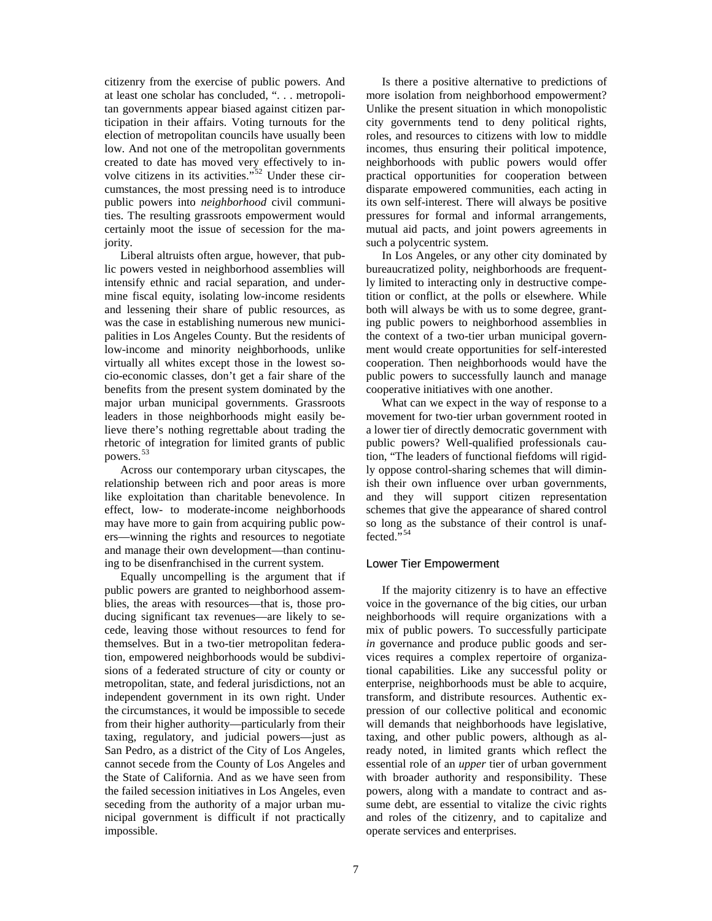citizenry from the exercise of public powers. And at least one scholar has concluded, ". . . metropolitan governments appear biased against citizen participation in their affairs. Voting turnouts for the election of metropolitan councils have usually been low. And not one of the metropolitan governments created to date has moved very effectively to involve citizens in its activities." $52$  Under these circumstances, the most pressing need is to introduce public powers into *neighborhood* civil communities. The resulting grassroots empowerment would certainly moot the issue of secession for the majority.

Liberal altruists often argue, however, that public powers vested in neighborhood assemblies will intensify ethnic and racial separation, and undermine fiscal equity, isolating low-income residents and lessening their share of public resources, as was the case in establishing numerous new municipalities in Los Angeles County. But the residents of low-income and minority neighborhoods, unlike virtually all whites except those in the lowest socio-economic classes, don't get a fair share of the benefits from the present system dominated by the major urban municipal governments. Grassroots leaders in those neighborhoods might easily believe there's nothing regrettable about trading the rhetoric of integration for limited grants of public powers. [53](#page-18-16)

Across our contemporary urban cityscapes, the relationship between rich and poor areas is more like exploitation than charitable benevolence. In effect, low- to moderate-income neighborhoods may have more to gain from acquiring public powers—winning the rights and resources to negotiate and manage their own development—than continuing to be disenfranchised in the current system.

Equally uncompelling is the argument that if public powers are granted to neighborhood assemblies, the areas with resources—that is, those producing significant tax revenues—are likely to secede, leaving those without resources to fend for themselves. But in a two-tier metropolitan federation, empowered neighborhoods would be subdivisions of a federated structure of city or county or metropolitan, state, and federal jurisdictions, not an independent government in its own right. Under the circumstances, it would be impossible to secede from their higher authority—particularly from their taxing, regulatory, and judicial powers—just as San Pedro, as a district of the City of Los Angeles, cannot secede from the County of Los Angeles and the State of California. And as we have seen from the failed secession initiatives in Los Angeles, even seceding from the authority of a major urban municipal government is difficult if not practically impossible.

Is there a positive alternative to predictions of more isolation from neighborhood empowerment? Unlike the present situation in which monopolistic city governments tend to deny political rights, roles, and resources to citizens with low to middle incomes, thus ensuring their political impotence, neighborhoods with public powers would offer practical opportunities for cooperation between disparate empowered communities, each acting in its own self-interest. There will always be positive pressures for formal and informal arrangements, mutual aid pacts, and joint powers agreements in such a polycentric system.

In Los Angeles, or any other city dominated by bureaucratized polity, neighborhoods are frequently limited to interacting only in destructive competition or conflict, at the polls or elsewhere. While both will always be with us to some degree, granting public powers to neighborhood assemblies in the context of a two-tier urban municipal government would create opportunities for self-interested cooperation. Then neighborhoods would have the public powers to successfully launch and manage cooperative initiatives with one another.

What can we expect in the way of response to a movement for two-tier urban government rooted in a lower tier of directly democratic government with public powers? Well-qualified professionals caution, "The leaders of functional fiefdoms will rigidly oppose control-sharing schemes that will diminish their own influence over urban governments, and they will support citizen representation schemes that give the appearance of shared control so long as the substance of their control is unaf-fected."<sup>[54](#page-18-17)</sup>

#### Lower Tier Empowerment

If the majority citizenry is to have an effective voice in the governance of the big cities, our urban neighborhoods will require organizations with a mix of public powers. To successfully participate *in* governance and produce public goods and services requires a complex repertoire of organizational capabilities. Like any successful polity or enterprise, neighborhoods must be able to acquire, transform, and distribute resources. Authentic expression of our collective political and economic will demands that neighborhoods have legislative, taxing, and other public powers, although as already noted, in limited grants which reflect the essential role of an *upper* tier of urban government with broader authority and responsibility. These powers, along with a mandate to contract and assume debt, are essential to vitalize the civic rights and roles of the citizenry, and to capitalize and operate services and enterprises.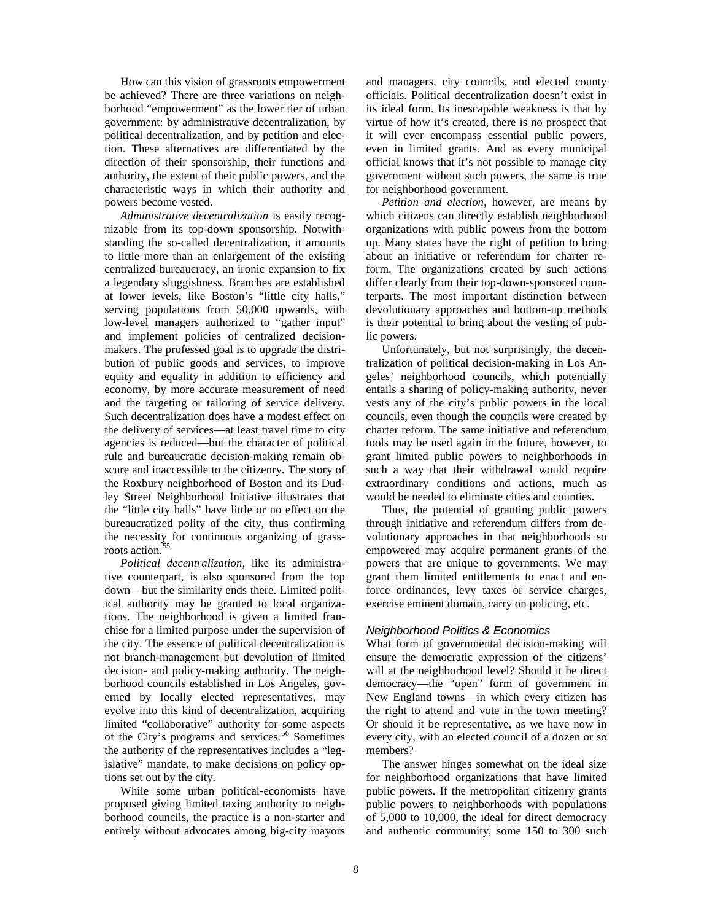How can this vision of grassroots empowerment be achieved? There are three variations on neighborhood "empowerment" as the lower tier of urban government: by administrative decentralization, by political decentralization, and by petition and election. These alternatives are differentiated by the direction of their sponsorship, their functions and authority, the extent of their public powers, and the characteristic ways in which their authority and powers become vested.

*Administrative decentralization* is easily recognizable from its top-down sponsorship. Notwithstanding the so-called decentralization, it amounts to little more than an enlargement of the existing centralized bureaucracy, an ironic expansion to fix a legendary sluggishness. Branches are established at lower levels, like Boston's "little city halls," serving populations from 50,000 upwards, with low-level managers authorized to "gather input" and implement policies of centralized decisionmakers. The professed goal is to upgrade the distribution of public goods and services, to improve equity and equality in addition to efficiency and economy, by more accurate measurement of need and the targeting or tailoring of service delivery. Such decentralization does have a modest effect on the delivery of services—at least travel time to city agencies is reduced—but the character of political rule and bureaucratic decision-making remain obscure and inaccessible to the citizenry. The story of the Roxbury neighborhood of Boston and its Dudley Street Neighborhood Initiative illustrates that the "little city halls" have little or no effect on the bureaucratized polity of the city, thus confirming the necessity for continuous organizing of grassroots action. [55](#page-18-31)

*Political decentralization*, like its administrative counterpart, is also sponsored from the top down—but the similarity ends there. Limited political authority may be granted to local organizations. The neighborhood is given a limited franchise for a limited purpose under the supervision of the city. The essence of political decentralization is not branch-management but devolution of limited decision- and policy-making authority. The neighborhood councils established in Los Angeles, governed by locally elected representatives, may evolve into this kind of decentralization, acquiring limited "collaborative" authority for some aspects of the City's programs and services.<sup>[56](#page-18-19)</sup> Sometimes the authority of the representatives includes a "legislative" mandate, to make decisions on policy options set out by the city.

While some urban political-economists have proposed giving limited taxing authority to neighborhood councils, the practice is a non-starter and entirely without advocates among big-city mayors and managers, city councils, and elected county officials. Political decentralization doesn't exist in its ideal form. Its inescapable weakness is that by virtue of how it's created, there is no prospect that it will ever encompass essential public powers, even in limited grants. And as every municipal official knows that it's not possible to manage city government without such powers, the same is true for neighborhood government.

*Petition and election*, however, are means by which citizens can directly establish neighborhood organizations with public powers from the bottom up. Many states have the right of petition to bring about an initiative or referendum for charter reform. The organizations created by such actions differ clearly from their top-down-sponsored counterparts. The most important distinction between devolutionary approaches and bottom-up methods is their potential to bring about the vesting of public powers.

Unfortunately, but not surprisingly, the decentralization of political decision-making in Los Angeles' neighborhood councils, which potentially entails a sharing of policy-making authority, never vests any of the city's public powers in the local councils, even though the councils were created by charter reform. The same initiative and referendum tools may be used again in the future, however, to grant limited public powers to neighborhoods in such a way that their withdrawal would require extraordinary conditions and actions, much as would be needed to eliminate cities and counties.

Thus, the potential of granting public powers through initiative and referendum differs from devolutionary approaches in that neighborhoods so empowered may acquire permanent grants of the powers that are unique to governments. We may grant them limited entitlements to enact and enforce ordinances, levy taxes or service charges, exercise eminent domain, carry on policing, etc.

#### *Neighborhood Politics & Economics*

What form of governmental decision-making will ensure the democratic expression of the citizens' will at the neighborhood level? Should it be direct democracy—the "open" form of government in New England towns—in which every citizen has the right to attend and vote in the town meeting? Or should it be representative, as we have now in every city, with an elected council of a dozen or so members?

The answer hinges somewhat on the ideal size for neighborhood organizations that have limited public powers. If the metropolitan citizenry grants public powers to neighborhoods with populations of 5,000 to 10,000, the ideal for direct democracy and authentic community, some 150 to 300 such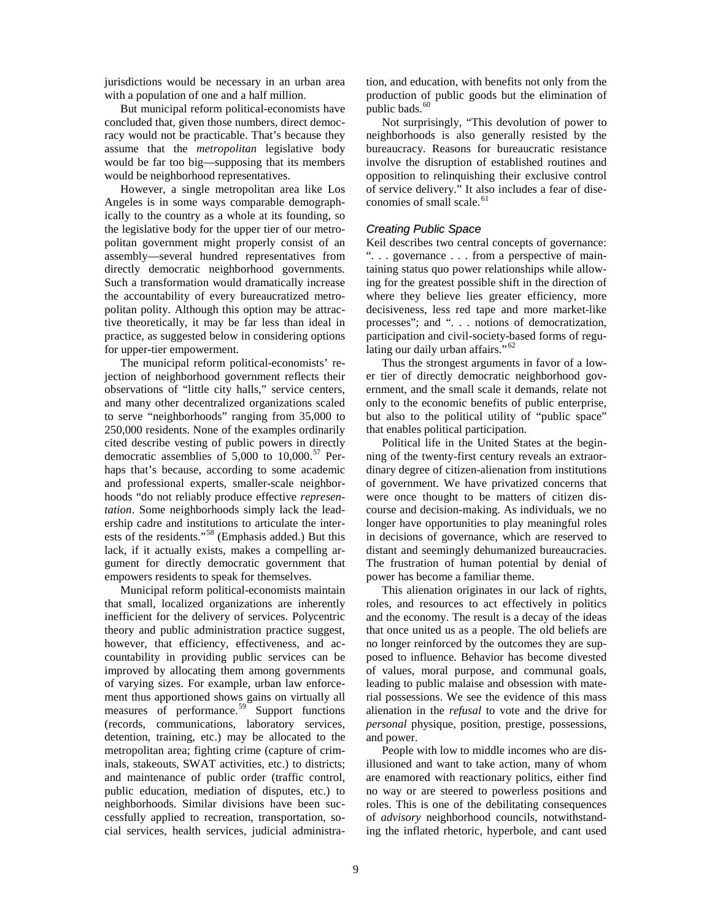jurisdictions would be necessary in an urban area with a population of one and a half million.

But municipal reform political-economists have concluded that, given those numbers, direct democracy would not be practicable. That's because they assume that the *metropolitan* legislative body would be far too big—supposing that its members would be neighborhood representatives.

However, a single metropolitan area like Los Angeles is in some ways comparable demographically to the country as a whole at its founding, so the legislative body for the upper tier of our metropolitan government might properly consist of an assembly—several hundred representatives from directly democratic neighborhood governments. Such a transformation would dramatically increase the accountability of every bureaucratized metropolitan polity. Although this option may be attractive theoretically, it may be far less than ideal in practice, as suggested below in considering options for upper-tier empowerment.

The municipal reform political-economists' rejection of neighborhood government reflects their observations of "little city halls," service centers, and many other decentralized organizations scaled to serve "neighborhoods" ranging from 35,000 to 250,000 residents. None of the examples ordinarily cited describe vesting of public powers in directly democratic assemblies of 5,000 to 10,000. [57](#page-18-21) Perhaps that's because, according to some academic and professional experts, smaller-scale neighborhoods "do not reliably produce effective *representation*. Some neighborhoods simply lack the leadership cadre and institutions to articulate the interests of the residents."[58](#page-18-32) (Emphasis added.) But this lack, if it actually exists, makes a compelling argument for directly democratic government that empowers residents to speak for themselves.

Municipal reform political-economists maintain that small, localized organizations are inherently inefficient for the delivery of services. Polycentric theory and public administration practice suggest, however, that efficiency, effectiveness, and accountability in providing public services can be improved by allocating them among governments of varying sizes. For example, urban law enforcement thus apportioned shows gains on virtually all measures of performance.<sup>[59](#page-18-33)</sup> Support functions (records, communications, laboratory services, detention, training, etc.) may be allocated to the metropolitan area; fighting crime (capture of criminals, stakeouts, SWAT activities, etc.) to districts; and maintenance of public order (traffic control, public education, mediation of disputes, etc.) to neighborhoods. Similar divisions have been successfully applied to recreation, transportation, social services, health services, judicial administration, and education, with benefits not only from the production of public goods but the elimination of public bads.<sup>[60](#page-18-34)</sup>

Not surprisingly, "This devolution of power to neighborhoods is also generally resisted by the bureaucracy. Reasons for bureaucratic resistance involve the disruption of established routines and opposition to relinquishing their exclusive control of service delivery." It also includes a fear of dise-conomies of small scale.<sup>[61](#page-18-23)</sup>

#### *Creating Public Space*

Keil describes two central concepts of governance: ". . . governance . . . from a perspective of maintaining status quo power relationships while allowing for the greatest possible shift in the direction of where they believe lies greater efficiency, more decisiveness, less red tape and more market-like processes"; and ". . . notions of democratization, participation and civil-society-based forms of regu-lating our daily urban affairs."<sup>[62](#page-18-35)</sup>

Thus the strongest arguments in favor of a lower tier of directly democratic neighborhood government, and the small scale it demands, relate not only to the economic benefits of public enterprise, but also to the political utility of "public space" that enables political participation.

Political life in the United States at the beginning of the twenty-first century reveals an extraordinary degree of citizen-alienation from institutions of government. We have privatized concerns that were once thought to be matters of citizen discourse and decision-making. As individuals, we no longer have opportunities to play meaningful roles in decisions of governance, which are reserved to distant and seemingly dehumanized bureaucracies. The frustration of human potential by denial of power has become a familiar theme.

This alienation originates in our lack of rights, roles, and resources to act effectively in politics and the economy. The result is a decay of the ideas that once united us as a people. The old beliefs are no longer reinforced by the outcomes they are supposed to influence. Behavior has become divested of values, moral purpose, and communal goals, leading to public malaise and obsession with material possessions. We see the evidence of this mass alienation in the *refusal* to vote and the drive for *personal* physique, position, prestige, possessions, and power.

People with low to middle incomes who are disillusioned and want to take action, many of whom are enamored with reactionary politics, either find no way or are steered to powerless positions and roles. This is one of the debilitating consequences of *advisory* neighborhood councils, notwithstanding the inflated rhetoric, hyperbole, and cant used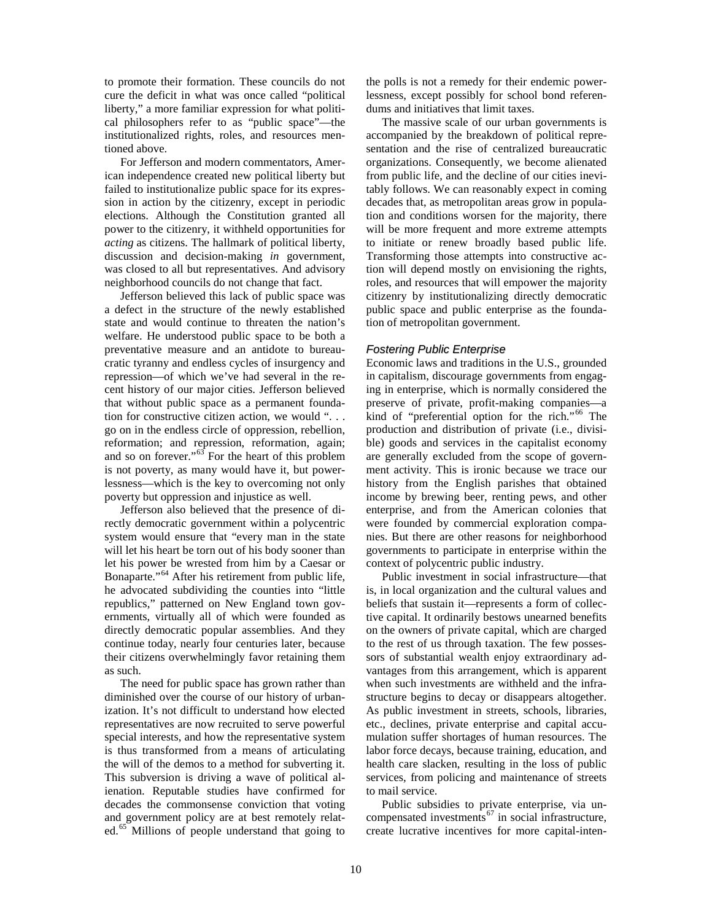to promote their formation. These councils do not cure the deficit in what was once called "political liberty," a more familiar expression for what political philosophers refer to as "public space"—the institutionalized rights, roles, and resources mentioned above.

For Jefferson and modern commentators, American independence created new political liberty but failed to institutionalize public space for its expression in action by the citizenry, except in periodic elections. Although the Constitution granted all power to the citizenry, it withheld opportunities for *acting* as citizens. The hallmark of political liberty, discussion and decision-making *in* government, was closed to all but representatives. And advisory neighborhood councils do not change that fact.

Jefferson believed this lack of public space was a defect in the structure of the newly established state and would continue to threaten the nation's welfare. He understood public space to be both a preventative measure and an antidote to bureaucratic tyranny and endless cycles of insurgency and repression—of which we've had several in the recent history of our major cities. Jefferson believed that without public space as a permanent foundation for constructive citizen action, we would ". . . go on in the endless circle of oppression, rebellion, reformation; and repression, reformation, again; and so on forever."<sup>[63](#page-18-7)</sup> For the heart of this problem is not poverty, as many would have it, but powerlessness—which is the key to overcoming not only poverty but oppression and injustice as well.

Jefferson also believed that the presence of directly democratic government within a polycentric system would ensure that "every man in the state will let his heart be torn out of his body sooner than let his power be wrested from him by a Caesar or Bonaparte."[64](#page-18-36) After his retirement from public life, he advocated subdividing the counties into "little republics," patterned on New England town governments, virtually all of which were founded as directly democratic popular assemblies. And they continue today, nearly four centuries later, because their citizens overwhelmingly favor retaining them as such.

The need for public space has grown rather than diminished over the course of our history of urbanization. It's not difficult to understand how elected representatives are now recruited to serve powerful special interests, and how the representative system is thus transformed from a means of articulating the will of the demos to a method for subverting it. This subversion is driving a wave of political alienation. Reputable studies have confirmed for decades the commonsense conviction that voting and government policy are at best remotely relat-ed.<sup>[65](#page-18-37)</sup> Millions of people understand that going to

the polls is not a remedy for their endemic powerlessness, except possibly for school bond referendums and initiatives that limit taxes.

The massive scale of our urban governments is accompanied by the breakdown of political representation and the rise of centralized bureaucratic organizations. Consequently, we become alienated from public life, and the decline of our cities inevitably follows. We can reasonably expect in coming decades that, as metropolitan areas grow in population and conditions worsen for the majority, there will be more frequent and more extreme attempts to initiate or renew broadly based public life. Transforming those attempts into constructive action will depend mostly on envisioning the rights, roles, and resources that will empower the majority citizenry by institutionalizing directly democratic public space and public enterprise as the foundation of metropolitan government.

#### *Fostering Public Enterprise*

Economic laws and traditions in the U.S., grounded in capitalism, discourage governments from engaging in enterprise, which is normally considered the preserve of private, profit-making companies—a kind of "preferential option for the rich."<sup>[66](#page-18-38)</sup> The production and distribution of private (i.e., divisible) goods and services in the capitalist economy are generally excluded from the scope of government activity. This is ironic because we trace our history from the English parishes that obtained income by brewing beer, renting pews, and other enterprise, and from the American colonies that were founded by commercial exploration companies. But there are other reasons for neighborhood governments to participate in enterprise within the context of polycentric public industry.

Public investment in social infrastructure—that is, in local organization and the cultural values and beliefs that sustain it—represents a form of collective capital. It ordinarily bestows unearned benefits on the owners of private capital, which are charged to the rest of us through taxation. The few possessors of substantial wealth enjoy extraordinary advantages from this arrangement, which is apparent when such investments are withheld and the infrastructure begins to decay or disappears altogether. As public investment in streets, schools, libraries, etc., declines, private enterprise and capital accumulation suffer shortages of human resources. The labor force decays, because training, education, and health care slacken, resulting in the loss of public services, from policing and maintenance of streets to mail service.

Public subsidies to private enterprise, via un-compensated investments<sup>[67](#page-18-39)</sup> in social infrastructure, create lucrative incentives for more capital-inten-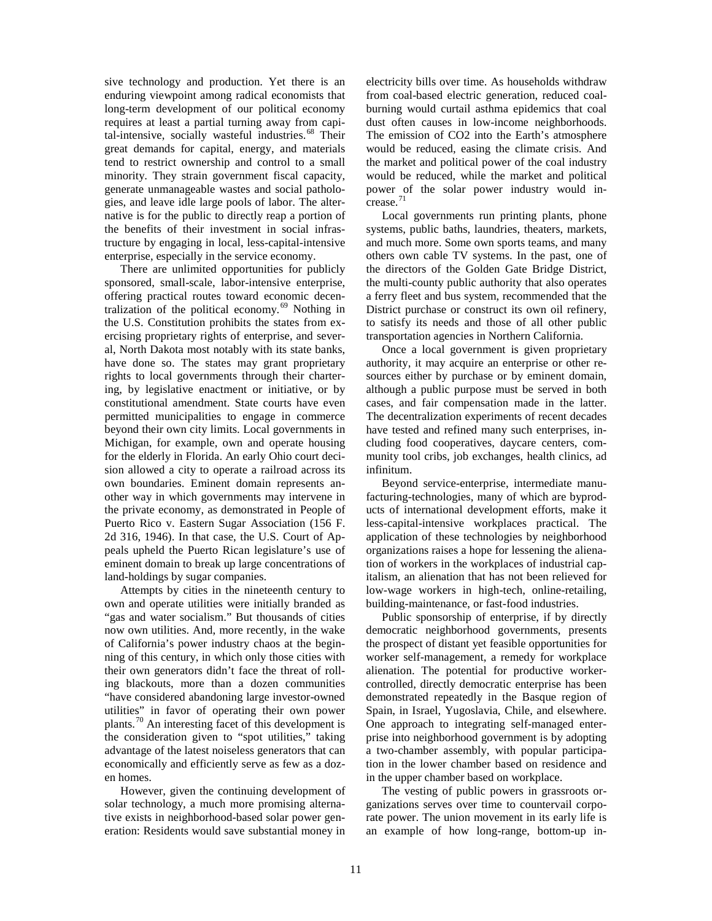sive technology and production. Yet there is an enduring viewpoint among radical economists that long-term development of our political economy requires at least a partial turning away from capi-tal-intensive, socially wasteful industries.<sup>[68](#page-18-9)</sup> Their great demands for capital, energy, and materials tend to restrict ownership and control to a small minority. They strain government fiscal capacity, generate unmanageable wastes and social pathologies, and leave idle large pools of labor. The alternative is for the public to directly reap a portion of the benefits of their investment in social infrastructure by engaging in local, less-capital-intensive enterprise, especially in the service economy.

There are unlimited opportunities for publicly sponsored, small-scale, labor-intensive enterprise, offering practical routes toward economic decentralization of the political economy. $69$  Nothing in the U.S. Constitution prohibits the states from exercising proprietary rights of enterprise, and several, North Dakota most notably with its state banks, have done so. The states may grant proprietary rights to local governments through their chartering, by legislative enactment or initiative, or by constitutional amendment. State courts have even permitted municipalities to engage in commerce beyond their own city limits. Local governments in Michigan, for example, own and operate housing for the elderly in Florida. An early Ohio court decision allowed a city to operate a railroad across its own boundaries. Eminent domain represents another way in which governments may intervene in the private economy, as demonstrated in People of Puerto Rico v. Eastern Sugar Association (156 F. 2d 316, 1946). In that case, the U.S. Court of Appeals upheld the Puerto Rican legislature's use of eminent domain to break up large concentrations of land-holdings by sugar companies.

Attempts by cities in the nineteenth century to own and operate utilities were initially branded as "gas and water socialism." But thousands of cities now own utilities. And, more recently, in the wake of California's power industry chaos at the beginning of this century, in which only those cities with their own generators didn't face the threat of rolling blackouts, more than a dozen communities "have considered abandoning large investor-owned utilities" in favor of operating their own power plants.<sup>[70](#page-18-41)</sup> An interesting facet of this development is the consideration given to "spot utilities," taking advantage of the latest noiseless generators that can economically and efficiently serve as few as a dozen homes.

However, given the continuing development of solar technology, a much more promising alternative exists in neighborhood-based solar power generation: Residents would save substantial money in

electricity bills over time. As households withdraw from coal-based electric generation, reduced coalburning would curtail asthma epidemics that coal dust often causes in low-income neighborhoods. The emission of CO2 into the Earth's atmosphere would be reduced, easing the climate crisis. And the market and political power of the coal industry would be reduced, while the market and political power of the solar power industry would increase. [71](#page-18-12)

Local governments run printing plants, phone systems, public baths, laundries, theaters, markets, and much more. Some own sports teams, and many others own cable TV systems. In the past, one of the directors of the Golden Gate Bridge District, the multi-county public authority that also operates a ferry fleet and bus system, recommended that the District purchase or construct its own oil refinery, to satisfy its needs and those of all other public transportation agencies in Northern California.

Once a local government is given proprietary authority, it may acquire an enterprise or other resources either by purchase or by eminent domain, although a public purpose must be served in both cases, and fair compensation made in the latter. The decentralization experiments of recent decades have tested and refined many such enterprises, including food cooperatives, daycare centers, community tool cribs, job exchanges, health clinics, ad infinitum.

Beyond service-enterprise, intermediate manufacturing-technologies, many of which are byproducts of international development efforts, make it less-capital-intensive workplaces practical. The application of these technologies by neighborhood organizations raises a hope for lessening the alienation of workers in the workplaces of industrial capitalism, an alienation that has not been relieved for low-wage workers in high-tech, online-retailing, building-maintenance, or fast-food industries.

Public sponsorship of enterprise, if by directly democratic neighborhood governments, presents the prospect of distant yet feasible opportunities for worker self-management, a remedy for workplace alienation. The potential for productive workercontrolled, directly democratic enterprise has been demonstrated repeatedly in the Basque region of Spain, in Israel, Yugoslavia, Chile, and elsewhere. One approach to integrating self-managed enterprise into neighborhood government is by adopting a two-chamber assembly, with popular participation in the lower chamber based on residence and in the upper chamber based on workplace.

The vesting of public powers in grassroots organizations serves over time to countervail corporate power. The union movement in its early life is an example of how long-range, bottom-up in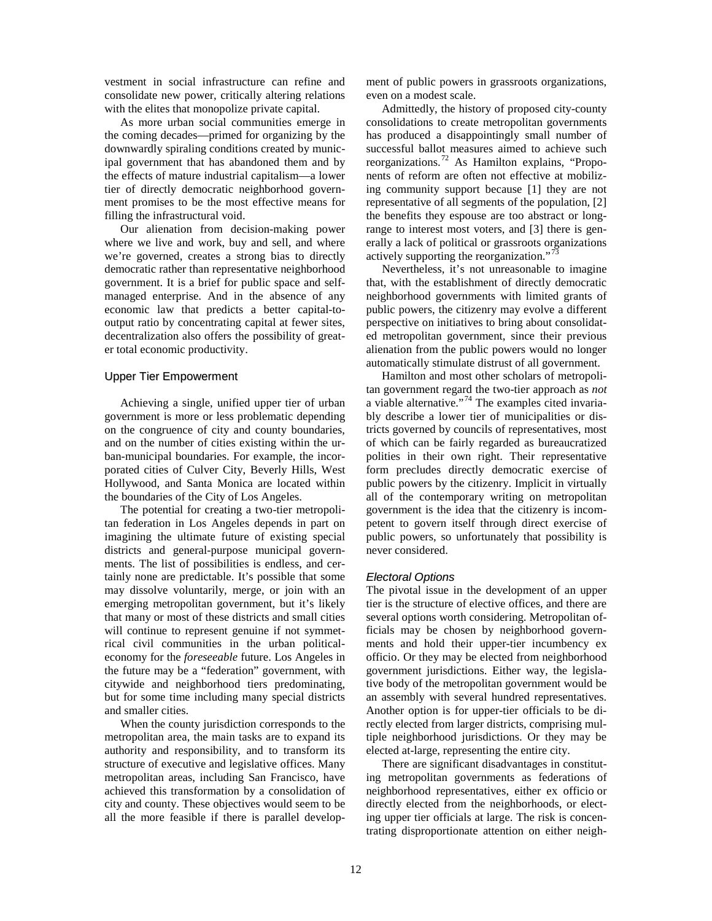vestment in social infrastructure can refine and consolidate new power, critically altering relations with the elites that monopolize private capital.

As more urban social communities emerge in the coming decades—primed for organizing by the downwardly spiraling conditions created by municipal government that has abandoned them and by the effects of mature industrial capitalism—a lower tier of directly democratic neighborhood government promises to be the most effective means for filling the infrastructural void.

Our alienation from decision-making power where we live and work, buy and sell, and where we're governed, creates a strong bias to directly democratic rather than representative neighborhood government. It is a brief for public space and selfmanaged enterprise. And in the absence of any economic law that predicts a better capital-tooutput ratio by concentrating capital at fewer sites, decentralization also offers the possibility of greater total economic productivity.

#### Upper Tier Empowerment

Achieving a single, unified upper tier of urban government is more or less problematic depending on the congruence of city and county boundaries, and on the number of cities existing within the urban-municipal boundaries. For example, the incorporated cities of Culver City, Beverly Hills, West Hollywood, and Santa Monica are located within the boundaries of the City of Los Angeles.

The potential for creating a two-tier metropolitan federation in Los Angeles depends in part on imagining the ultimate future of existing special districts and general-purpose municipal governments. The list of possibilities is endless, and certainly none are predictable. It's possible that some may dissolve voluntarily, merge, or join with an emerging metropolitan government, but it's likely that many or most of these districts and small cities will continue to represent genuine if not symmetrical civil communities in the urban politicaleconomy for the *foreseeable* future. Los Angeles in the future may be a "federation" government, with citywide and neighborhood tiers predominating, but for some time including many special districts and smaller cities.

When the county jurisdiction corresponds to the metropolitan area, the main tasks are to expand its authority and responsibility, and to transform its structure of executive and legislative offices. Many metropolitan areas, including San Francisco, have achieved this transformation by a consolidation of city and county. These objectives would seem to be all the more feasible if there is parallel development of public powers in grassroots organizations, even on a modest scale.

Admittedly, the history of proposed city-county consolidations to create metropolitan governments has produced a disappointingly small number of successful ballot measures aimed to achieve such reorganizations.[72](#page-18-42) As Hamilton explains, "Proponents of reform are often not effective at mobilizing community support because [1] they are not representative of all segments of the population, [2] the benefits they espouse are too abstract or longrange to interest most voters, and [3] there is generally a lack of political or grassroots organizations actively supporting the reorganization."<sup>[73](#page-18-27)</sup>

Nevertheless, it's not unreasonable to imagine that, with the establishment of directly democratic neighborhood governments with limited grants of public powers, the citizenry may evolve a different perspective on initiatives to bring about consolidated metropolitan government, since their previous alienation from the public powers would no longer automatically stimulate distrust of all government.

Hamilton and most other scholars of metropolitan government regard the two-tier approach as *not* a viable alternative."<sup>[74](#page-18-28)</sup> The examples cited invariably describe a lower tier of municipalities or districts governed by councils of representatives, most of which can be fairly regarded as bureaucratized polities in their own right. Their representative form precludes directly democratic exercise of public powers by the citizenry. Implicit in virtually all of the contemporary writing on metropolitan government is the idea that the citizenry is incompetent to govern itself through direct exercise of public powers, so unfortunately that possibility is never considered.

#### *Electoral Options*

The pivotal issue in the development of an upper tier is the structure of elective offices, and there are several options worth considering. Metropolitan officials may be chosen by neighborhood governments and hold their upper-tier incumbency ex officio. Or they may be elected from neighborhood government jurisdictions. Either way, the legislative body of the metropolitan government would be an assembly with several hundred representatives. Another option is for upper-tier officials to be directly elected from larger districts, comprising multiple neighborhood jurisdictions. Or they may be elected at-large, representing the entire city.

There are significant disadvantages in constituting metropolitan governments as federations of neighborhood representatives, either ex officio or directly elected from the neighborhoods, or electing upper tier officials at large. The risk is concentrating disproportionate attention on either neigh-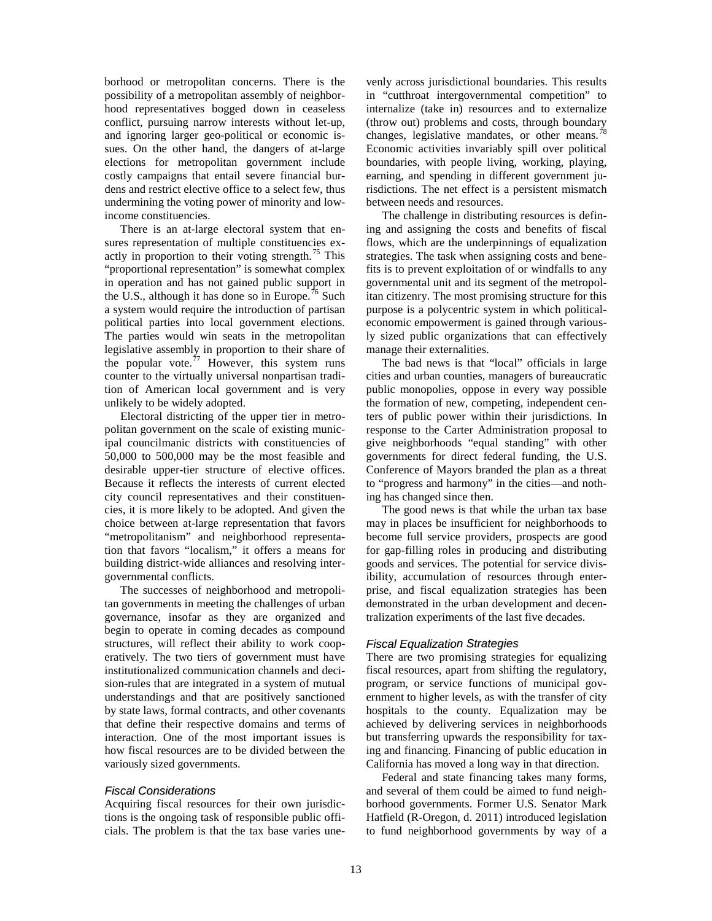borhood or metropolitan concerns. There is the possibility of a metropolitan assembly of neighborhood representatives bogged down in ceaseless conflict, pursuing narrow interests without let-up, and ignoring larger geo-political or economic issues. On the other hand, the dangers of at-large elections for metropolitan government include costly campaigns that entail severe financial burdens and restrict elective office to a select few, thus undermining the voting power of minority and lowincome constituencies.

There is an at-large electoral system that ensures representation of multiple constituencies ex-actly in proportion to their voting strength.<sup>[75](#page-18-14)</sup> This "proportional representation" is somewhat complex in operation and has not gained public support in the U.S., although it has done so in Europe.<sup>[76](#page-18-43)</sup> Such a system would require the introduction of partisan political parties into local government elections. The parties would win seats in the metropolitan legislative assembly in proportion to their share of the popular vote.<sup>[77](#page-18-30)</sup> However, this system runs counter to the virtually universal nonpartisan tradition of American local government and is very unlikely to be widely adopted.

Electoral districting of the upper tier in metropolitan government on the scale of existing municipal councilmanic districts with constituencies of 50,000 to 500,000 may be the most feasible and desirable upper-tier structure of elective offices. Because it reflects the interests of current elected city council representatives and their constituencies, it is more likely to be adopted. And given the choice between at-large representation that favors "metropolitanism" and neighborhood representation that favors "localism," it offers a means for building district-wide alliances and resolving intergovernmental conflicts.

The successes of neighborhood and metropolitan governments in meeting the challenges of urban governance, insofar as they are organized and begin to operate in coming decades as compound structures, will reflect their ability to work cooperatively. The two tiers of government must have institutionalized communication channels and decision-rules that are integrated in a system of mutual understandings and that are positively sanctioned by state laws, formal contracts, and other covenants that define their respective domains and terms of interaction. One of the most important issues is how fiscal resources are to be divided between the variously sized governments.

#### *Fiscal Considerations*

Acquiring fiscal resources for their own jurisdictions is the ongoing task of responsible public officials. The problem is that the tax base varies unevenly across jurisdictional boundaries. This results in "cutthroat intergovernmental competition" to internalize (take in) resources and to externalize (throw out) problems and costs, through boundary changes, legislative mandates, or other means.<sup>[78](#page-18-17)</sup> Economic activities invariably spill over political boundaries, with people living, working, playing, earning, and spending in different government jurisdictions. The net effect is a persistent mismatch between needs and resources.

The challenge in distributing resources is defining and assigning the costs and benefits of fiscal flows, which are the underpinnings of equalization strategies. The task when assigning costs and benefits is to prevent exploitation of or windfalls to any governmental unit and its segment of the metropolitan citizenry. The most promising structure for this purpose is a polycentric system in which politicaleconomic empowerment is gained through variously sized public organizations that can effectively manage their externalities.

The bad news is that "local" officials in large cities and urban counties, managers of bureaucratic public monopolies, oppose in every way possible the formation of new, competing, independent centers of public power within their jurisdictions. In response to the Carter Administration proposal to give neighborhoods "equal standing" with other governments for direct federal funding, the U.S. Conference of Mayors branded the plan as a threat to "progress and harmony" in the cities—and nothing has changed since then.

The good news is that while the urban tax base may in places be insufficient for neighborhoods to become full service providers, prospects are good for gap-filling roles in producing and distributing goods and services. The potential for service divisibility, accumulation of resources through enterprise, and fiscal equalization strategies has been demonstrated in the urban development and decentralization experiments of the last five decades.

#### *Fiscal Equalization Strategies*

There are two promising strategies for equalizing fiscal resources, apart from shifting the regulatory, program, or service functions of municipal government to higher levels, as with the transfer of city hospitals to the county. Equalization may be achieved by delivering services in neighborhoods but transferring upwards the responsibility for taxing and financing. Financing of public education in California has moved a long way in that direction.

Federal and state financing takes many forms, and several of them could be aimed to fund neighborhood governments. Former U.S. Senator Mark Hatfield (R-Oregon, d. 2011) introduced legislation to fund neighborhood governments by way of a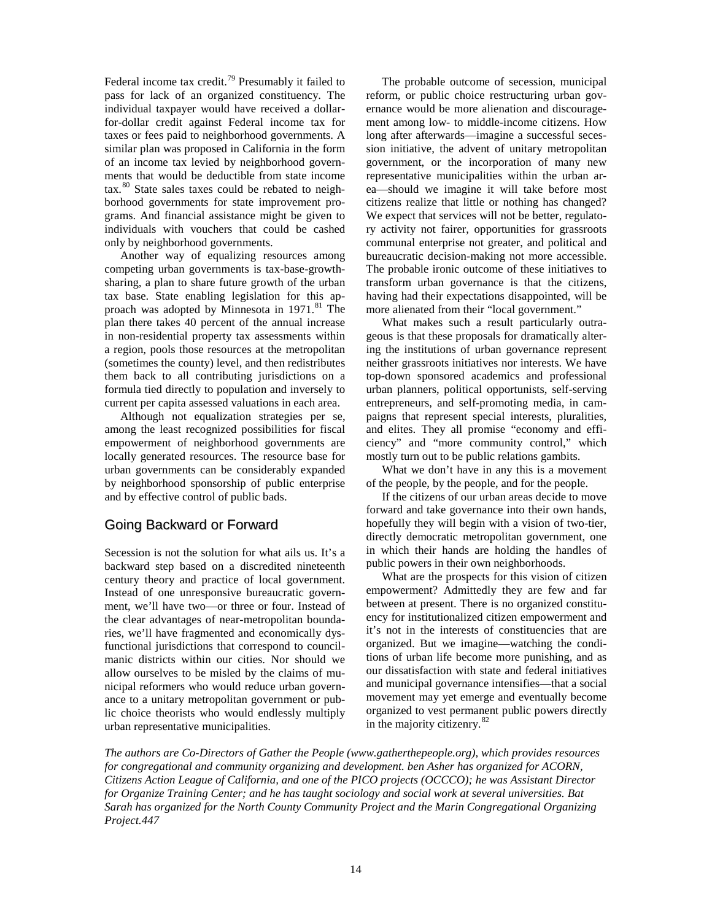Federal income tax credit.<sup>[79](#page-18-18)</sup> Presumably it failed to pass for lack of an organized constituency. The individual taxpayer would have received a dollarfor-dollar credit against Federal income tax for taxes or fees paid to neighborhood governments. A similar plan was proposed in California in the form of an income tax levied by neighborhood governments that would be deductible from state income tax.<sup>[80](#page-18-21)</sup> State sales taxes could be rebated to neighborhood governments for state improvement programs. And financial assistance might be given to individuals with vouchers that could be cashed only by neighborhood governments.

Another way of equalizing resources among competing urban governments is tax-base-growthsharing, a plan to share future growth of the urban tax base. State enabling legislation for this approach was adopted by Minnesota in  $1971$ .<sup>[81](#page-18-33)</sup> The plan there takes 40 percent of the annual increase in non-residential property tax assessments within a region, pools those resources at the metropolitan (sometimes the county) level, and then redistributes them back to all contributing jurisdictions on a formula tied directly to population and inversely to current per capita assessed valuations in each area.

Although not equalization strategies per se, among the least recognized possibilities for fiscal empowerment of neighborhood governments are locally generated resources. The resource base for urban governments can be considerably expanded by neighborhood sponsorship of public enterprise and by effective control of public bads.

### Going Backward or Forward

Secession is not the solution for what ails us. It's a backward step based on a discredited nineteenth century theory and practice of local government. Instead of one unresponsive bureaucratic government, we'll have two—or three or four. Instead of the clear advantages of near-metropolitan boundaries, we'll have fragmented and economically dysfunctional jurisdictions that correspond to councilmanic districts within our cities. Nor should we allow ourselves to be misled by the claims of municipal reformers who would reduce urban governance to a unitary metropolitan government or public choice theorists who would endlessly multiply urban representative municipalities.

The probable outcome of secession, municipal reform, or public choice restructuring urban governance would be more alienation and discouragement among low- to middle-income citizens. How long after afterwards—imagine a successful secession initiative, the advent of unitary metropolitan government, or the incorporation of many new representative municipalities within the urban area—should we imagine it will take before most citizens realize that little or nothing has changed? We expect that services will not be better, regulatory activity not fairer, opportunities for grassroots communal enterprise not greater, and political and bureaucratic decision-making not more accessible. The probable ironic outcome of these initiatives to transform urban governance is that the citizens, having had their expectations disappointed, will be more alienated from their "local government."

What makes such a result particularly outrageous is that these proposals for dramatically altering the institutions of urban governance represent neither grassroots initiatives nor interests. We have top-down sponsored academics and professional urban planners, political opportunists, self-serving entrepreneurs, and self-promoting media, in campaigns that represent special interests, pluralities, and elites. They all promise "economy and efficiency" and "more community control," which mostly turn out to be public relations gambits.

What we don't have in any this is a movement of the people, by the people, and for the people.

If the citizens of our urban areas decide to move forward and take governance into their own hands, hopefully they will begin with a vision of two-tier, directly democratic metropolitan government, one in which their hands are holding the handles of public powers in their own neighborhoods.

What are the prospects for this vision of citizen empowerment? Admittedly they are few and far between at present. There is no organized constituency for institutionalized citizen empowerment and it's not in the interests of constituencies that are organized. But we imagine—watching the conditions of urban life become more punishing, and as our dissatisfaction with state and federal initiatives and municipal governance intensifies—that a social movement may yet emerge and eventually become organized to vest permanent public powers directly in the majority citizenry.[82](#page-18-1)

*The authors are Co-Directors of Gather the People (www.gatherthepeople.org), which provides resources for congregational and community organizing and development. ben Asher has organized for ACORN, Citizens Action League of California, and one of the PICO projects (OCCCO); he was Assistant Director for Organize Training Center; and he has taught sociology and social work at several universities. Bat Sarah has organized for the North County Community Project and the Marin Congregational Organizing Project.447*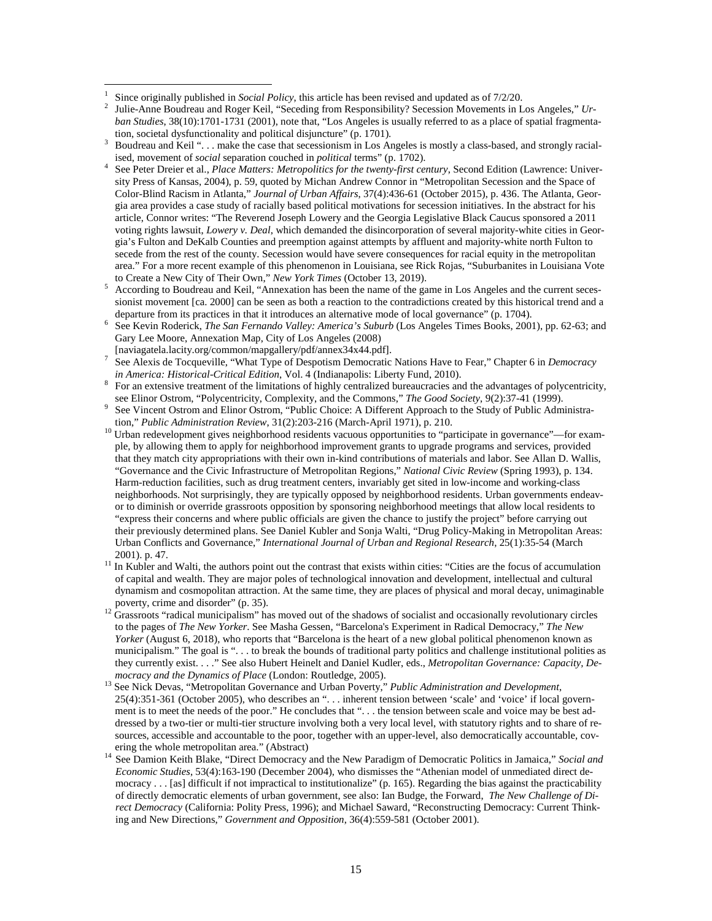- <span id="page-14-3"></span>sity Press of Kansas, 2004), p. 59, quoted by Michan Andrew Connor in "Metropolitan Secession and the Space of Color-Blind Racism in Atlanta," *Journal of Urban Affairs*, 37(4):436-61 (October 2015), p. 436. The Atlanta, Georgia area provides a case study of racially based political motivations for secession initiatives. In the abstract for his article, Connor writes: "The Reverend Joseph Lowery and the Georgia Legislative Black Caucus sponsored a 2011 voting rights lawsuit, *Lowery v. Deal*, which demanded the disincorporation of several majority-white cities in Georgia's Fulton and DeKalb Counties and preemption against attempts by affluent and majority-white north Fulton to secede from the rest of the county. Secession would have severe consequences for racial equity in the metropolitan area." For a more recent example of this phenomenon in Louisiana, see Rick Rojas, "Suburbanites in Louisiana Vote
- to Create a New City of Their Own," *New York Times* (October 13, 2019).<br><sup>5</sup> According to Boudreau and Keil, "Annexation has been the name of the game in Los Angeles and the current secessionist movement [ca. 2000] can be seen as both a reaction to the contradictions created by this historical trend and a
- departure from its practices in that it introduces an alternative mode of local governance" (p. 1704).<br><sup>6</sup> See Kevin Roderick, *The San Fernando Valley: America's Suburb* (Los Angeles Times Books, 2001), pp. 62-63; and Gary Lee Moore, Annexation Map, City of Los Angeles (2008)
- 
- [naviagatela.lacity.org/common/mapgallery/pdf/annex34x44.pdf]. <sup>7</sup> See Alexis de Tocqueville, "What Type of Despotism Democratic Nations Have to Fear," Chapter 6 in *Democracy*
- *in America: Historical-Critical Edition*, Vol. 4 (Indianapolis: Liberty Fund, 2010).<br>For an extensive treatment of the limitations of highly centralized bureaucracies and the advantages of polycentricity, see Elinor Ostro
- see Elinor Ostrom, "Polycentricity, Complexity, and the Commons," *The Good Society, 9(2):37-41 (1999)*.<br><sup>9</sup> See Vincent Ostrom and Elinor Ostrom, "Public Choice: A Different Approach to the Study of Public Administra-<br>tio
- <sup>10</sup> Urban redevelopment gives neighborhood residents vacuous opportunities to "participate in governance"—for example, by allowing them to apply for neighborhood improvement grants to upgrade programs and services, provided that they match city appropriations with their own in-kind contributions of materials and labor. See Allan D. Wallis, "Governance and the Civic Infrastructure of Metropolitan Regions," *National Civic Review* (Spring 1993), p. 134. Harm-reduction facilities, such as drug treatment centers, invariably get sited in low-income and working-class neighborhoods. Not surprisingly, they are typically opposed by neighborhood residents. Urban governments endeavor to diminish or override grassroots opposition by sponsoring neighborhood meetings that allow local residents to "express their concerns and where public officials are given the chance to justify the project" before carrying out their previously determined plans. See Daniel Kubler and Sonja Walti, "Drug Policy-Making in Metropolitan Areas: Urban Conflicts and Governance," *International Journal of Urban and Regional Research*, 25(1):35-54 (March
- 2001). p. 47.  $\frac{11}{11}$  In Kubler and Walti, the authors point out the contrast that exists within cities: "Cities are the focus of accumulation of capital and wealth. They are major poles of technological innovation and development, intellectual and cultural dynamism and cosmopolitan attraction. At the same time, they are places of physical and moral decay, unimaginable poverty, crime and disorder" (p. 35).<br><sup>12</sup> Grassroots "radical municipalism" has moved out of the shadows of socialist and occasionally revolutionary circles
- to the pages of *The New Yorker*. See Masha Gessen, "Barcelona's Experiment in Radical Democracy," *The New Yorker* (August 6, 2018), who reports that "Barcelona is the heart of a new global political phenomenon known as municipalism." The goal is ". . . to break the bounds of traditional party politics and challenge institutional polities as they currently exist. . . ." See also Hubert Heinelt and Daniel Kudler, eds., *Metropolitan Governance: Capacity, De-*
- *mocracy and the Dynamics of Place* (London: Routledge, 2005). <sup>13</sup> See Nick Devas, "Metropolitan Governance and Urban Poverty," *Public Administration and Development*, 25(4):351-361 (October 2005), who describes an ". . . inherent tension between 'scale' and 'voice' if local government is to meet the needs of the poor." He concludes that "... the tension between scale and voice may be best addressed by a two-tier or multi-tier structure involving both a very local level, with statutory rights and to share of resources, accessible and accountable to the poor, together with an upper-level, also democratically accountable, cov-<br>ering the whole metropolitan area." (Abstract)
- ering the whole metropolitan area." (Abstract) <sup>14</sup> See Damion Keith Blake, "Direct Democracy and the New Paradigm of Democratic Politics in Jamaica," *Social and Economic Studies*, 53(4):163-190 (December 2004), who dismisses the "Athenian model of unmediated direct democracy . . . [as] difficult if not impractical to institutionalize" (p. 165). Regarding the bias against the practicability of directly democratic elements of urban government, see also: Ian Budge, the Forward, *The New Challenge of Direct Democracy* (California: Polity Press, 1996); and Michael Saward, "Reconstructing Democracy: Current Thinking and New Directions," *Government and Opposition*, 36(4):559-581 (October 2001).

<span id="page-14-1"></span><span id="page-14-0"></span><sup>&</sup>lt;sup>1</sup> Since originally published in *Social Policy*, this article has been revised and updated as of  $7/2/20$ .<br><sup>2</sup> Julie-Anne Boudreau and Roger Keil, "Seceding from Responsibility? Secession Movements in Los Angeles," Ur*ban Studies*, 38(10):1701-1731 (2001), note that, "Los Angeles is usually referred to as a place of spatial fragmentation, societal dysfunctionality and political disjuncture" (p. 1701).

<span id="page-14-2"></span> $\frac{3}{3}$  Boudreau and Keil "... make the case that secessionism in Los Angeles is mostly a class-based, and strongly racialised, movement of *social* separation couched in *political* terms" (p. 1702). 4 See Peter Dreier et al., *Place Matters: Metropolitics for the twenty-first century*, Second Edition (Lawrence: Univer-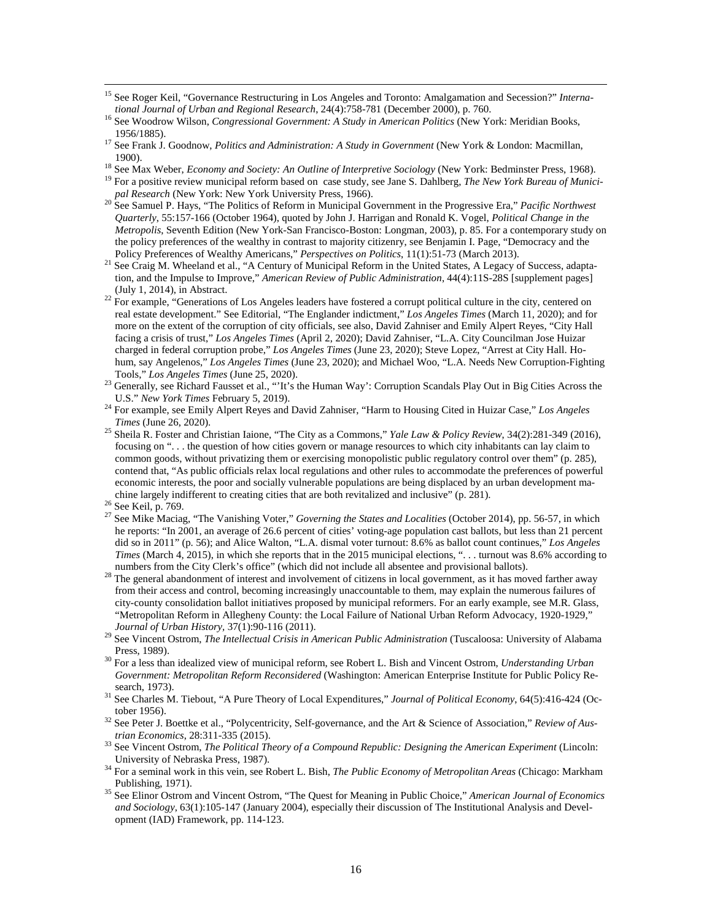- <sup>15</sup> See Roger Keil, "Governance Restructuring in Los Angeles and Toronto: Amalgamation and Secession?" *International Journal of Urban and Regional Research*, 24(4):758-781 (December 2000), p. 760.
- <sup>16</sup> See Woodrow Wilson, *Congressional Government: A Study in American Politics* (New York: Meridian Books, 1956/1885). <sup>17</sup> See Frank J. Goodnow, *Politics and Administration: A Study in Government* (New York & London: Macmillan,
- 
- 
- 1900).<br><sup>18</sup> See Max Weber, *Economy and Society: An Outline of Interpretive Sociology* (New York: Bedminster Press, 1968).<br><sup>19</sup> For a positive review municipal reform based on case study, see Jane S. Dahlberg, *The New Yor*
- <sup>20</sup> See Samuel P. Hays, "The Politics of Reform in Municipal Government in the Progressive Era," *Pacific Northwest Quarterly*, 55:157-166 (October 1964), quoted by John J. Harrigan and Ronald K. Vogel, *Political Change in the Metropolis*, Seventh Edition (New York-San Francisco-Boston: Longman, 2003), p. 85. For a contemporary study on the policy preferences of the wealthy in contrast to majority citizenry, see Benjamin I. Page, "Democracy and the Policy Preferences of Wealthy Americans," *Perspectives on Politics*, 11(1):51-73 (March 2013).
- <sup>21</sup> See Craig M. Wheeland et al., "A Century of Municipal Reform in the United States, A Legacy of Success, adaptation, and the Impulse to Improve," *American Review of Public Administration*, 44(4):11S-28S [supplement pages]
- <span id="page-15-1"></span><span id="page-15-0"></span><sup>22</sup> For example, "Generations of Los Angeles leaders have fostered a corrupt political culture in the city, centered on real estate development." See Editorial, "The Englander indictment," *Los Angeles Times* (March 11, 2020); and for more on the extent of the corruption of city officials, see also, David Zahniser and Emily Alpert Reyes, "City Hall facing a crisis of trust," *Los Angeles Times* (April 2, 2020); David Zahniser, "L.A. City Councilman Jose Huizar charged in federal corruption probe," *Los Angeles Times* (June 23, 2020); Steve Lopez, "Arrest at City Hall. Hohum, say Angelenos," *Los Angeles Times* (June 23, 2020); and Michael Woo, "L.A. Needs New Corruption-Fighting
- Tools," *Los Angeles Times* (June 25, 2020).<br><sup>23</sup> Generally, see Richard Fausset et al., "'It's the Human Way': Corruption Scandals Play Out in Big Cities Across the U.S." *New York Times* February 5, 2019).
- <sup>24</sup> For example, see Emily Alpert Reyes and David Zahniser, "Harm to Housing Cited in Huizar Case," *Los Angeles Times* (June 26, 2020).
- <sup>25</sup> Sheila R. Foster and Christian Iaione, "The City as a Commons," *Yale Law & Policy Review*, 34(2):281-349 (2016), focusing on ". . . the question of how cities govern or manage resources to which city inhabitants can lay claim to common goods, without privatizing them or exercising monopolistic public regulatory control over them" (p. 285), contend that, "As public officials relax local regulations and other rules to accommodate the preferences of powerful economic interests, the poor and socially vulnerable populations are being displaced by an urban development ma-<br>chine largely indifferent to creating cities that are both revitalized and inclusive" (p. 281).
- $\frac{26}{27}$  See Keil, p. 769.<br><sup>26</sup> See Keil, p. 769.<br><sup>27</sup> See Mike Maciag, "The Vanishing Voter," *Governing the States and Localities* (October 2014), pp. 56-57, in which he reports: "In 2001, an average of 26.6 percent of cities' voting-age population cast ballots, but less than 21 percent did so in 2011" (p. 56); and Alice Walton, "L.A. dismal voter turnout: 8.6% as ballot count continues," *Los Angeles Times* (March 4, 2015), in which she reports that in the 2015 municipal elections, ". . . turnout was 8.6% according to
- numbers from the City Clerk's office" (which did not include all absentee and provisional ballots).<br><sup>28</sup> The general abandonment of interest and involvement of citizens in local government, as it has moved farther away from their access and control, becoming increasingly unaccountable to them, may explain the numerous failures of city-county consolidation ballot initiatives proposed by municipal reformers. For an early example, see M.R. Glass, "Metropolitan Reform in Allegheny County: the Local Failure of National Urban Reform Advocacy, 1920-1929,"<br>Journal of Urban History, 37(1):90-116 (2011).
- *Journal of Urban History,* 37(1):90-116 (2011). <sup>29</sup> See Vincent Ostrom, *The Intellectual Crisis in American Public Administration* (Tuscaloosa: University of Alabama
- <sup>30</sup> For a less than idealized view of municipal reform, see Robert L. Bish and Vincent Ostrom, *Understanding Urban Government: Metropolitan Reform Reconsidered* (Washington: American Enterprise Institute for Public Policy Re-
- search, 1973). 31 See Charles M. Tiebout, "A Pure Theory of Local Expenditures," *Journal of Political Economy*, 64(5):416-424 (Oc-
- tober 1956).<br><sup>32</sup> See Peter J. Boettke et al., "Polycentricity, Self-governance, and the Art & Science of Association," *Review of Aus-*<br>*trian Economics*, 28:311-335 (2015).
- <sup>33</sup> See Vincent Ostrom, *The Political Theory of a Compound Republic: Designing the American Experiment* (Lincoln: University of Nebraska Press, 1987). <sup>34</sup> For a seminal work in this vein, see Robert L. Bish, *The Public Economy of Metropolitan Areas* (Chicago: Markham
- Publishing, 1971). <sup>35</sup> See Elinor Ostrom and Vincent Ostrom, "The Quest for Meaning in Public Choice," *American Journal of Economics*
- *and Sociology*, 63(1):105-147 (January 2004), especially their discussion of The Institutional Analysis and Development (IAD) Framework, pp. 114-123.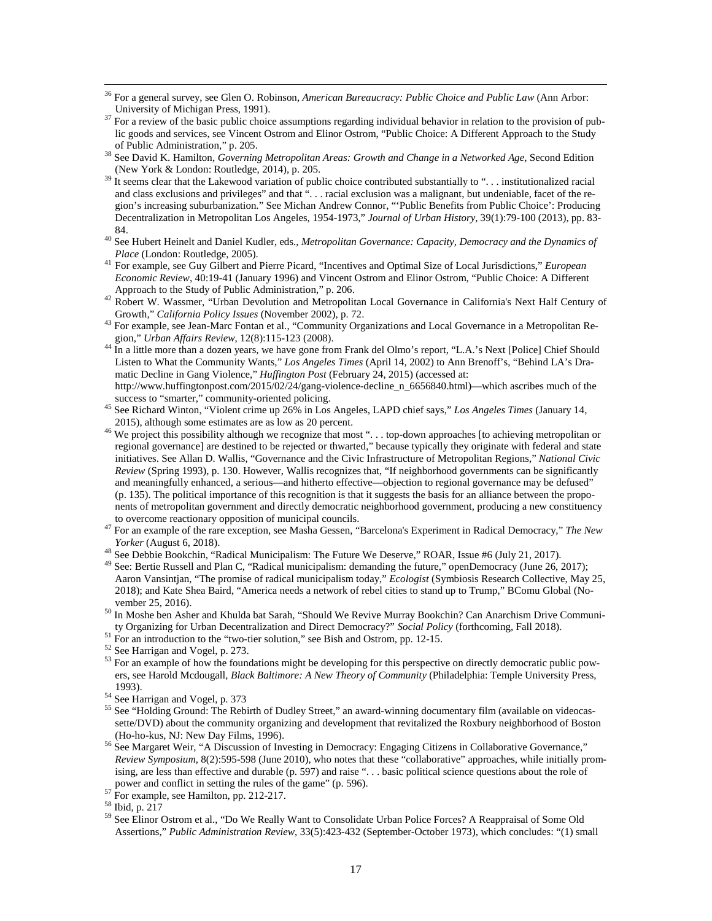- <sup>36</sup> For a general survey, see Glen O. Robinson, *American Bureaucracy: Public Choice and Public Law* (Ann Arbor: University of Michigan Press, 1991).
- $37$  For a review of the basic public choice assumptions regarding individual behavior in relation to the provision of public goods and services, see Vincent Ostrom and Elinor Ostrom, "Public Choice: A Different Approach to the Study
- of Public Administration," p. 205.<br><sup>38</sup> See David K. Hamilton, *Governing Metropolitan Areas: Growth and Change in a Networked Age*, Second Edition<br>(New York & London: Routledge, 2014), p. 205.
- $^{39}$  It seems clear that the Lakewood variation of public choice contributed substantially to "... institutionalized racial and class exclusions and privileges" and that ". . . racial exclusion was a malignant, but undeniable, facet of the region's increasing suburbanization." See Michan Andrew Connor, "'Public Benefits from Public Choice': Producing Decentralization in Metropolitan Los Angeles, 1954-1973," *Journal of Urban History*, 39(1):79-100 (2013), pp. 83-
- 84. <sup>40</sup> See Hubert Heinelt and Daniel Kudler, eds., *Metropolitan Governance: Capacity, Democracy and the Dynamics of*
- <sup>41</sup> For example, see Guy Gilbert and Pierre Picard, "Incentives and Optimal Size of Local Jurisdictions," *European Economic Review*, 40:19-41 (January 1996) and Vincent Ostrom and Elinor Ostrom, "Public Choice: A Different Approach to the Study of Public Administration," p. 206.
- <sup>42</sup> Robert W. Wassmer, "Urban Devolution and Metropolitan Local Governance in California's Next Half Century of Growth," *California Policy Issues* (November 2002), p. 72.
- <sup>43</sup> For example, see Jean-Marc Fontan et al., "Community Organizations and Local Governance in a Metropolitan Region," *Urban Affairs Review*, 12(8):115-123 (2008).
- <span id="page-16-0"></span><sup>44</sup> In a little more than a dozen years, we have gone from Frank del Olmo's report, "L.A.'s Next [Police] Chief Should Listen to What the Community Wants," *Los Angeles Times* (April 14, 2002) to Ann Brenoff's, "Behind LA's Dramatic Decline in Gang Violence," *Huffington Post* (February 24, 2015) (accessed at: http://www.huffingtonpost.com/2015/02/24/gang-violence-decline\_n\_6656840.html)—which ascribes much of the success to "smarter," community-oriented policing.
- <span id="page-16-2"></span><span id="page-16-1"></span>success to "smarter," community-oriented policing.<br>
<sup>45</sup> See Richard Winton, "Violent crime up 26% in Los Angeles, LAPD chief says," *Los Angeles Times* (January 14, 2015), although some estimates are as low as 20 percent.
- <span id="page-16-3"></span><sup>46</sup> We project this possibility although we recognize that most ". . . top-down approaches [to achieving metropolitan or regional governance] are destined to be rejected or thwarted," because typically they originate with federal and state initiatives. See Allan D. Wallis, "Governance and the Civic Infrastructure of Metropolitan Regions," *National Civic Review* (Spring 1993), p. 130. However, Wallis recognizes that, "If neighborhood governments can be significantly and meaningfully enhanced, a serious—and hitherto effective—objection to regional governance may be defused" (p. 135). The political importance of this recognition is that it suggests the basis for an alliance between the proponents of metropolitan government and directly democratic neighborhood government, producing a new constituency
- to overcome reactionary opposition of municipal councils. <sup>47</sup> For an example of the rare exception, see Masha Gessen, "Barcelona's Experiment in Radical Democracy," *The New*
- 
- <sup>48</sup> See Debbie Bookchin, "Radical Municipalism: The Future We Deserve," ROAR, Issue #6 (July 21, 2017).<br><sup>49</sup> See: Bertie Russell and Plan C, "Radical municipalism: demanding the future," openDemocracy (June 26, 2017); Aaron Vansintjan, "The promise of radical municipalism today," *Ecologist* (Symbiosis Research Collective, May 25, 2018); and Kate Shea Baird, "America needs a network of rebel cities to stand up to Trump," BComu Global (No-
- vember 25, 2016).<br><sup>50</sup> In Moshe ben Asher and Khulda bat Sarah, "Should We Revive Murray Bookchin? Can Anarchism Drive Communi-<br>1y Organizing for Urban Decentralization and Direct Democracy?" Social Policy (forthcoming, Fa
- 
- 
- <sup>51</sup> For an introduction to the "two-tier solution," see Bish and Ostrom, pp. 12-15.<br><sup>52</sup> See Harrigan and Vogel, p. 273.<br><sup>53</sup> For an example of how the foundations might be developing for this perspective on directly demo ers, see Harold Mcdougall, *Black Baltimore: A New Theory of Community* (Philadelphia: Temple University Press,
- 
- 1993).<br><sup>54</sup> See Harrigan and Vogel, p. 373<br><sup>55</sup> See "Holding Ground: The Rebirth of Dudley Street," an award-winning documentary film (available on videocassette/DVD) about the community organizing and development that revitalized the Roxbury neighborhood of Boston (Ho-ho-kus, NJ: New Day Films, 1996).
- <sup>56</sup> See Margaret Weir, "A Discussion of Investing in Democracy: Engaging Citizens in Collaborative Governance," *Review Symposium*, 8(2):595-598 (June 2010), who notes that these "collaborative" approaches, while initially promising, are less than effective and durable (p. 597) and raise "... basic political science questions about the role of power and conflict in setting the rules of the game" (p. 596).
- 

<sup>57</sup> For example, see Hamilton, pp. 212-217.<br><sup>58</sup> Ibid, p. 217<br><sup>59</sup> See Elinor Ostrom et al., "Do We Really Want to Consolidate Urban Police Forces? A Reappraisal of Some Old Assertions," *Public Administration Review*, 33(5):423-432 (September-October 1973), which concludes: "(1) small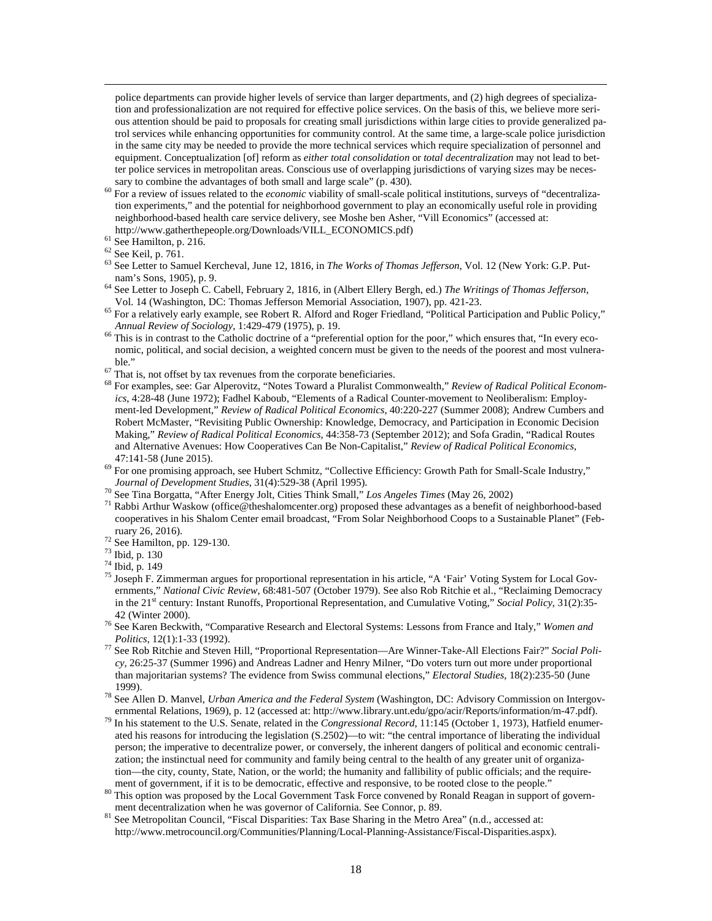police departments can provide higher levels of service than larger departments, and (2) high degrees of specialization and professionalization are not required for effective police services. On the basis of this, we believe more serious attention should be paid to proposals for creating small jurisdictions within large cities to provide generalized patrol services while enhancing opportunities for community control. At the same time, a large-scale police jurisdiction in the same city may be needed to provide the more technical services which require specialization of personnel and equipment. Conceptualization [of] reform as *either total consolidation* or *total decentralization* may not lead to better police services in metropolitan areas. Conscious use of overlapping jurisdictions of varying sizes may be neces-<br>sary to combine the advantages of both small and large scale" (p. 430).

- <sup>60</sup> For a review of issues related to the *economic* viability of small-scale political institutions, surveys of "decentralization experiments," and the potential for neighborhood government to play an economically useful role in providing neighborhood-based health care service delivery, see Moshe ben Asher, "Vill Economics" (accessed at:
- 
- 
- http://www.gatherthepeople.org/Downloads/VILL\_ECONOMICS.pdf)<br>
<sup>61</sup> See Hamilton, p. 216.<br>
<sup>62</sup> See Keil, p. 761.<br>
<sup>62</sup> See Keil, p. 761.<br>
<sup>63</sup> See Letter to Samuel Kercheval, June 12, 1816, in *The Works of Thomas Jefferso*
- nam's Sons, 1905), p. 9.<br><sup>64</sup> See Letter to Joseph C. Cabell, February 2, 1816, in (Albert Ellery Bergh, ed.) *The Writings of Thomas Jefferson*, Vol. 14 (Washington, DC: Thomas Jefferson Memorial Association, 1907), pp. 4
- <sup>65</sup> For a relatively early example, see Robert R. Alford and Roger Friedland, "Political Participation and Public Policy," Annual Review of Sociology, 1:429-479 (1975), p. 19.
- <sup>66</sup> This is in contrast to the Catholic doctrine of a "preferential option for the poor," which ensures that, "In every economic, political, and social decision, a weighted concern must be given to the needs of the poorest and most vulnera-
- 
- ble."<br><sup>67</sup> That is, not offset by tax revenues from the corporate beneficiaries.<br><sup>68</sup> For examples, see: Gar Alperovitz, "Notes Toward a Pluralist Commonwealth," *Review of Radical Political Economics*, 4:28-48 (June 1972); Fadhel Kaboub, "Elements of a Radical Counter-movement to Neoliberalism: Employment-led Development," *Review of Radical Political Economics*, 40:220-227 (Summer 2008); Andrew Cumbers and Robert McMaster, "Revisiting Public Ownership: Knowledge, Democracy, and Participation in Economic Decision Making," *Review of Radical Political Economics*, 44:358-73 (September 2012); and Sofa Gradin, "Radical Routes and Alternative Avenues: How Cooperatives Can Be Non-Capitalist," *Review of Radical Political Economics*,
- 47:141-58 (June 2015).<br>
<sup>69</sup> For one promising approach, see Hubert Schmitz, "Collective Efficiency: Growth Path for Small-Scale Industry,"<br> *Journal of Development Studies*, 31(4):529-38 (April 1995).
- 
- <sup>70</sup> See Tina Borgatta, "After Energy Jolt, Cities Think Small," Los Angeles Times (May 26, 2002)<br><sup>71</sup> Rabbi Arthur Waskow (office@theshalomcenter.org) proposed these advantages as a benefit of neighborhood-based cooperatives in his Shalom Center email broadcast, "From Solar Neighborhood Coops to a Sustainable Planet" (Feb-
- 
- 
- <sup>72</sup> See Hamilton, pp. 129-130.<br><sup>73</sup> Ibid, p. 130<br><sup>74</sup> Ibid, p. 149<br><sup>75</sup> Joseph F. Zimmerman argues for proportional representation in his article, "A 'Fair' Voting System for Local Governments," *National Civic Review*, 68:481-507 (October 1979). See also Rob Ritchie et al., "Reclaiming Democracy in the 21st century: Instant Runoffs, Proportional Representation, and Cumulative Voting," *Social Policy*, 31(2):35-
- <span id="page-17-1"></span>42 (Winter 2000).<br><sup>76</sup> See Karen Beckwith, "Comparative Research and Electoral Systems: Lessons from France and Italy," *Women and Politics*, 12(1):1-33 (1992).
- <sup>77</sup> See Rob Ritchie and Steven Hill, "Proportional Representation—Are Winner-Take-All Elections Fair?" *Social Policy*, 26:25-37 (Summer 1996) and Andreas Ladner and Henry Milner, "Do voters turn out more under proportional than majoritarian systems? The evidence from Swiss communal elections," *Electoral Studies*, 18(2):235-50 (June
- <span id="page-17-2"></span>1999).<br><sup>78</sup> See Allen D. Manvel, *Urban America and the Federal System* (Washington, DC: Advisory Commission on Intergov-<br>1969), p. 12 (accessed at: http://www.library.unt.edu/gpo/acir/Reports/information/m-47.pdf).
- <sup>79</sup> In his statement to the U.S. Senate, related in the *Congressional Record*, 11:145 (October 1, 1973), Hatfield enumerated his reasons for introducing the legislation (S.2502)—to wit: "the central importance of liberating the individual person; the imperative to decentralize power, or conversely, the inherent dangers of political and economic centralization; the instinctual need for community and family being central to the health of any greater unit of organization—the city, county, State, Nation, or the world; the humanity and fallibility of public officials; and the require-<br>ment of government, if it is to be democratic, effective and responsive, to be rooted close to the peop
- <sup>80</sup> This option was proposed by the Local Government Task Force convened by Ronald Reagan in support of govern-
- ment decentralization when he was governor of California. See Connor, p. 89.<br><sup>81</sup> See Metropolitan Council, "Fiscal Disparities: Tax Base Sharing in the Metro Area" (n.d., accessed at: http://www.metrocouncil.org/Communities/Planning/Local-Planning-Assistance/Fiscal-Disparities.aspx).

<span id="page-17-0"></span>